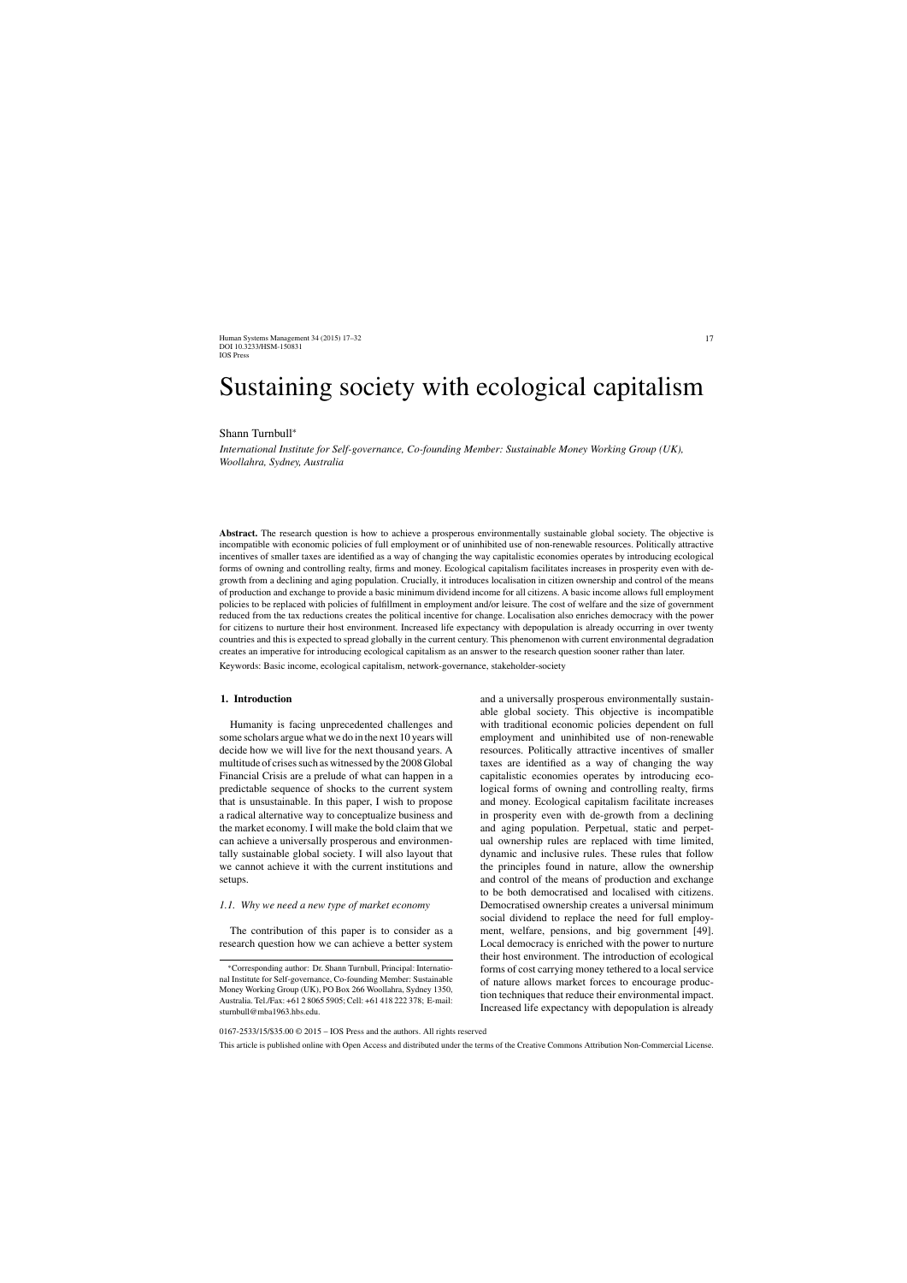Human Systems Management 34 (2015) 17–32 DOI 10.3233/HSM-150831 IOS Press

# Sustaining society with ecological capitalism

#### Shann Turnbull<sup>∗</sup>

*International Institute for Self-governance, Co-founding Member: Sustainable Money Working Group (UK), Woollahra, Sydney, Australia*

**Abstract.** The research question is how to achieve a prosperous environmentally sustainable global society. The objective is incompatible with economic policies of full employment or of uninhibited use of non-renewable resources. Politically attractive incentives of smaller taxes are identified as a way of changing the way capitalistic economies operates by introducing ecological forms of owning and controlling realty, firms and money. Ecological capitalism facilitates increases in prosperity even with degrowth from a declining and aging population. Crucially, it introduces localisation in citizen ownership and control of the means of production and exchange to provide a basic minimum dividend income for all citizens. A basic income allows full employment policies to be replaced with policies of fulfillment in employment and/or leisure. The cost of welfare and the size of government reduced from the tax reductions creates the political incentive for change. Localisation also enriches democracy with the power for citizens to nurture their host environment. Increased life expectancy with depopulation is already occurring in over twenty countries and this is expected to spread globally in the current century. This phenomenon with current environmental degradation creates an imperative for introducing ecological capitalism as an answer to the research question sooner rather than later.

Keywords: Basic income, ecological capitalism, network-governance, stakeholder-society

## **1. Introduction**

Humanity is facing unprecedented challenges and some scholars argue what we do in the next 10 years will decide how we will live for the next thousand years. A multitude of crises such as witnessed by the 2008 Global Financial Crisis are a prelude of what can happen in a predictable sequence of shocks to the current system that is unsustainable. In this paper, I wish to propose a radical alternative way to conceptualize business and the market economy. I will make the bold claim that we can achieve a universally prosperous and environmentally sustainable global society. I will also layout that we cannot achieve it with the current institutions and setups.

#### *1.1. Why we need a new type of market economy*

The contribution of this paper is to consider as a research question how we can achieve a better system and a universally prosperous environmentally sustainable global society. This objective is incompatible with traditional economic policies dependent on full employment and uninhibited use of non-renewable resources. Politically attractive incentives of smaller taxes are identified as a way of changing the way capitalistic economies operates by introducing ecological forms of owning and controlling realty, firms and money. Ecological capitalism facilitate increases in prosperity even with de-growth from a declining and aging population. Perpetual, static and perpetual ownership rules are replaced with time limited, dynamic and inclusive rules. These rules that follow the principles found in nature, allow the ownership and control of the means of production and exchange to be both democratised and localised with citizens. Democratised ownership creates a universal minimum social dividend to replace the need for full employment, welfare, pensions, and big government [49]. Local democracy is enriched with the power to nurture their host environment. The introduction of ecological forms of cost carrying money tethered to a local service of nature allows market forces to encourage production techniques that reduce their environmental impact. Increased life expectancy with depopulation is already

0167-2533/15/\$35.00 © 2015 – IOS Press and the authors. All rights reserved

This article is published online with Open Access and distributed under the terms of the Creative Commons Attribution Non-Commercial License.

<sup>∗</sup>Corresponding author: Dr. Shann Turnbull, Principal: International Institute for Self-governance, Co-founding Member: Sustainable Money Working Group (UK), PO Box 266 Woollahra, Sydney 1350, Australia. Tel./Fax: +61 2 8065 5905; Cell: +61 418 222 378; E-mail: [sturnbull@mba1963.hbs.edu.](mailto:sturnbull@mba1963.hbs.edu)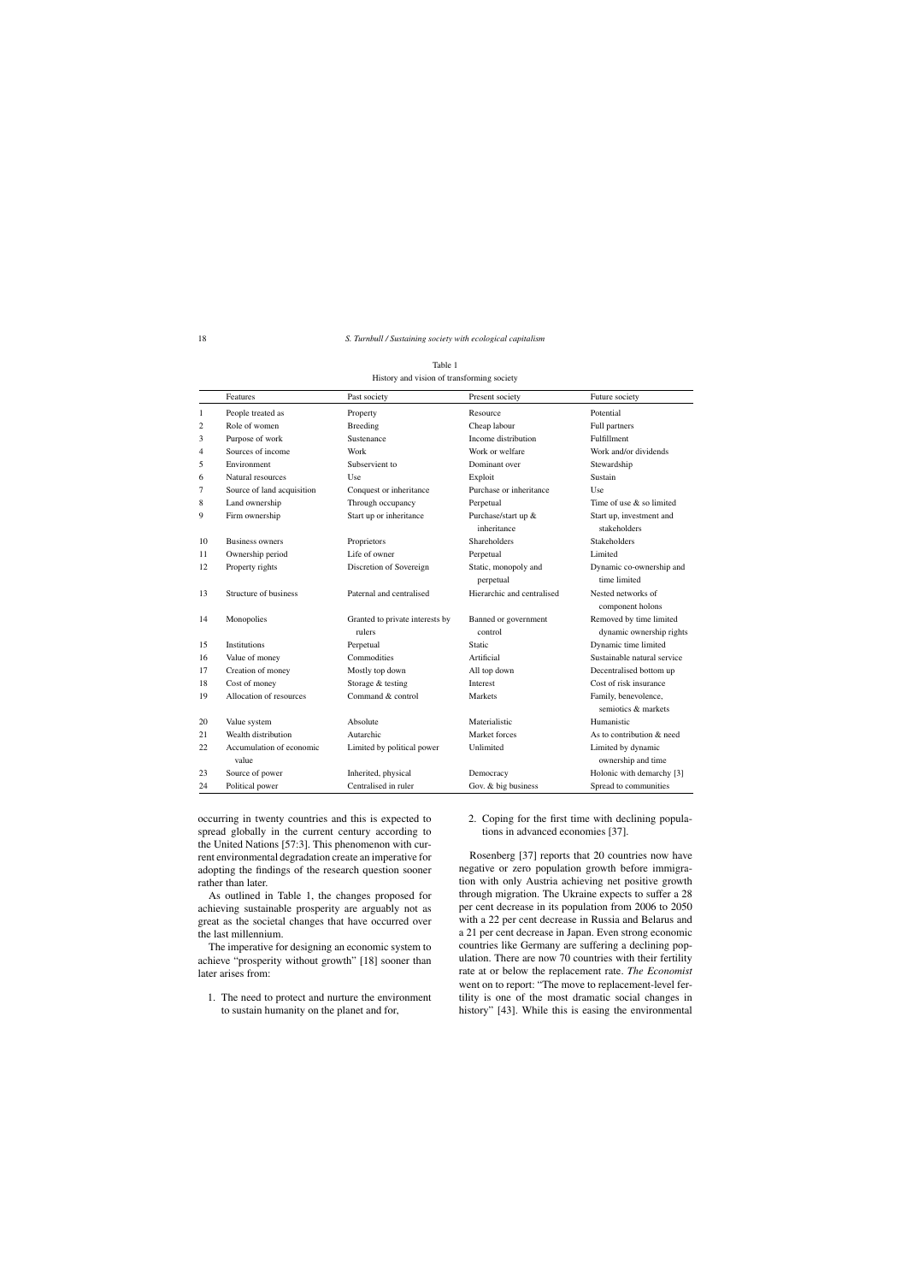## 18 *S. Turnbull / Sustaining society with ecological capitalism*

|                | Features                   | Past society                              | Present society                    | Future society                                      |
|----------------|----------------------------|-------------------------------------------|------------------------------------|-----------------------------------------------------|
| $\mathbf{1}$   | People treated as          | Property                                  | Resource                           | Potential                                           |
| $\mathfrak{2}$ | Role of women              | Breeding                                  | Cheap labour                       | Full partners                                       |
| 3              | Purpose of work            | Sustenance                                | Income distribution                | <b>Fulfillment</b>                                  |
| 4              | Sources of income          | Work                                      | Work or welfare                    | Work and/or dividends                               |
| 5              | Environment                | Subservient to                            | Dominant over                      | Stewardship                                         |
| 6              | Natural resources          | Use                                       | Exploit                            | Sustain                                             |
| 7              | Source of land acquisition | Conquest or inheritance                   | Purchase or inheritance            | Use                                                 |
| 8              | Land ownership             | Through occupancy                         | Perpetual                          | Time of use $&$ so limited                          |
| 9              | Firm ownership             | Start up or inheritance                   | Purchase/start up &<br>inheritance | Start up, investment and<br>stakeholders            |
| 10             | <b>Business owners</b>     | Proprietors                               | Shareholders                       | <b>Stakeholders</b>                                 |
| 11             | Ownership period           | Life of owner                             | Perpetual                          | Limited                                             |
| 12             | Property rights            | Discretion of Sovereign                   | Static, monopoly and<br>perpetual  | Dynamic co-ownership and<br>time limited            |
| 13             | Structure of business      | Paternal and centralised                  | Hierarchic and centralised         | Nested networks of<br>component holons              |
| 14             | Monopolies                 | Granted to private interests by<br>rulers | Banned or government<br>control    | Removed by time limited<br>dynamic ownership rights |
| 15             | <b>Institutions</b>        | Perpetual                                 | Static                             | Dynamic time limited                                |
| 16             | Value of money             | Commodities                               | Artificial                         | Sustainable natural service                         |
| 17             | Creation of money          | Mostly top down                           | All top down                       | Decentralised bottom up                             |
| 18             | Cost of money              | Storage & testing                         | Interest                           | Cost of risk insurance                              |
| 19             | Allocation of resources    | Command & control                         | Markets                            | Family, benevolence,<br>semiotics & markets         |
| 20             | Value system               | Absolute                                  | Materialistic                      | Humanistic                                          |
| 21             | Wealth distribution        | Autarchic                                 | Market forces                      | As to contribution & need                           |
| 22             | Accumulation of economic   | Limited by political power                | Unlimited                          | Limited by dynamic                                  |
|                | value                      |                                           |                                    | ownership and time                                  |
| 23             | Source of power            | Inherited, physical                       | Democracy                          | Holonic with demarchy [3]                           |
| 24             | Political power            | Centralised in ruler                      | Gov. & big business                | Spread to communities                               |

Table 1 History and vision of transforming society

occurring in twenty countries and this is expected to spread globally in the current century according to the United Nations [57:3]. This phenomenon with current environmental degradation create an imperative for adopting the findings of the research question sooner rather than later.

As outlined in Table 1, the changes proposed for achieving sustainable prosperity are arguably not as great as the societal changes that have occurred over the last millennium.

The imperative for designing an economic system to achieve "prosperity without growth" [18] sooner than later arises from:

1. The need to protect and nurture the environment to sustain humanity on the planet and for,

2. Coping for the first time with declining populations in advanced economies [37].

Rosenberg [37] reports that 20 countries now have negative or zero population growth before immigration with only Austria achieving net positive growth through migration. The Ukraine expects to suffer a 28 per cent decrease in its population from 2006 to 2050 with a 22 per cent decrease in Russia and Belarus and a 21 per cent decrease in Japan. Even strong economic countries like Germany are suffering a declining population. There are now 70 countries with their fertility rate at or below the replacement rate. *The Economist* went on to report: "The move to replacement-level fertility is one of the most dramatic social changes in history" [43]. While this is easing the environmental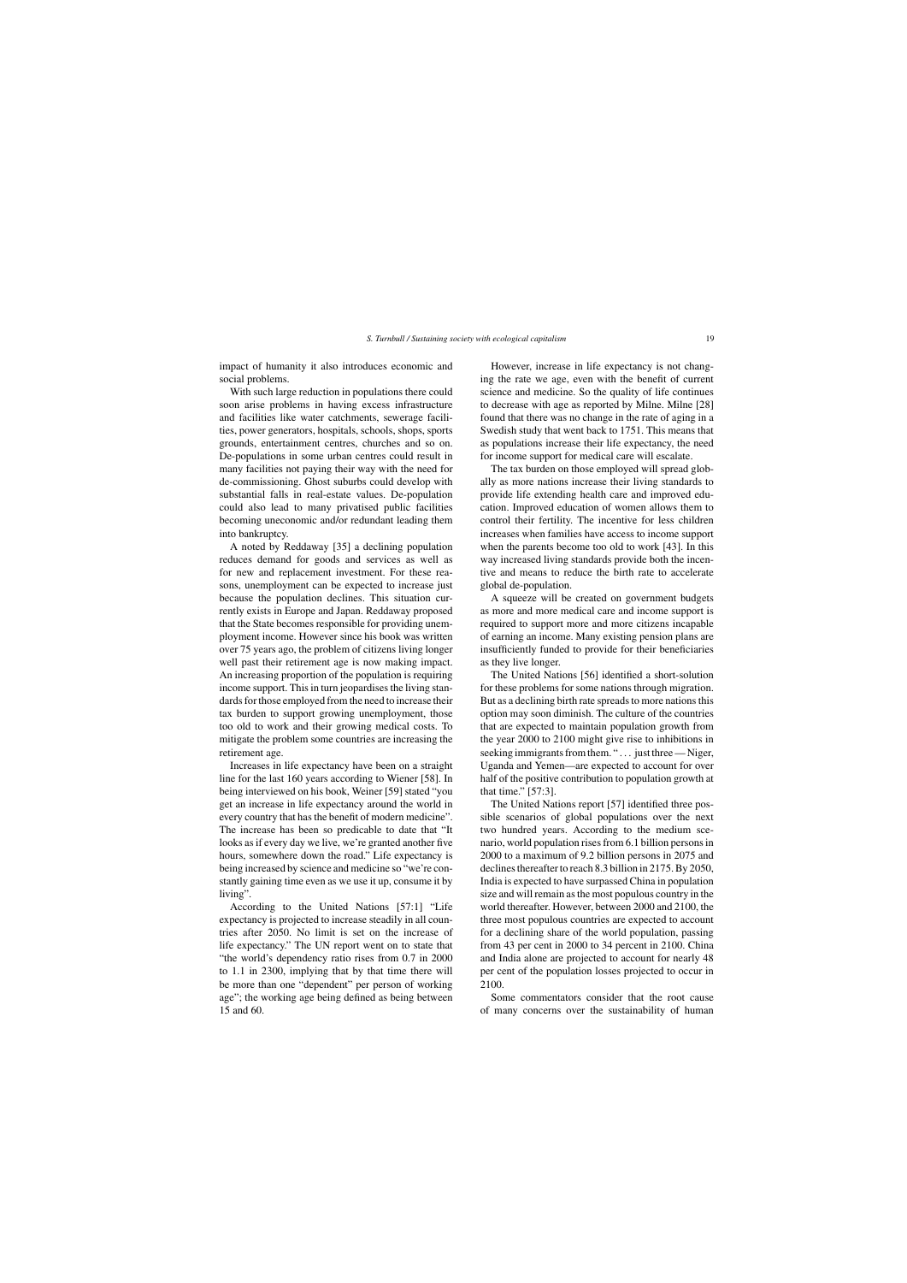impact of humanity it also introduces economic and social problems.

With such large reduction in populations there could soon arise problems in having excess infrastructure and facilities like water catchments, sewerage facilities, power generators, hospitals, schools, shops, sports grounds, entertainment centres, churches and so on. De-populations in some urban centres could result in many facilities not paying their way with the need for de-commissioning. Ghost suburbs could develop with substantial falls in real-estate values. De-population could also lead to many privatised public facilities becoming uneconomic and/or redundant leading them into bankruptcy.

A noted by Reddaway [35] a declining population reduces demand for goods and services as well as for new and replacement investment. For these reasons, unemployment can be expected to increase just because the population declines. This situation currently exists in Europe and Japan. Reddaway proposed that the State becomes responsible for providing unemployment income. However since his book was written over 75 years ago, the problem of citizens living longer well past their retirement age is now making impact. An increasing proportion of the population is requiring income support. This in turn jeopardises the living standards for those employed from the need to increase their tax burden to support growing unemployment, those too old to work and their growing medical costs. To mitigate the problem some countries are increasing the retirement age.

Increases in life expectancy have been on a straight line for the last 160 years according to Wiener [58]. In being interviewed on his book, Weiner [59] stated "you get an increase in life expectancy around the world in every country that has the benefit of modern medicine". The increase has been so predicable to date that "It looks as if every day we live, we're granted another five hours, somewhere down the road." Life expectancy is being increased by science and medicine so "we're constantly gaining time even as we use it up, consume it by living".

According to the United Nations [57:1] "Life expectancy is projected to increase steadily in all countries after 2050. No limit is set on the increase of life expectancy." The UN report went on to state that "the world's dependency ratio rises from 0.7 in 2000 to 1.1 in 2300, implying that by that time there will be more than one "dependent" per person of working age"; the working age being defined as being between 15 and 60.

However, increase in life expectancy is not changing the rate we age, even with the benefit of current science and medicine. So the quality of life continues to decrease with age as reported by Milne. Milne [28] found that there was no change in the rate of aging in a Swedish study that went back to 1751. This means that as populations increase their life expectancy, the need for income support for medical care will escalate.

The tax burden on those employed will spread globally as more nations increase their living standards to provide life extending health care and improved education. Improved education of women allows them to control their fertility. The incentive for less children increases when families have access to income support when the parents become too old to work [43]. In this way increased living standards provide both the incentive and means to reduce the birth rate to accelerate global de-population.

A squeeze will be created on government budgets as more and more medical care and income support is required to support more and more citizens incapable of earning an income. Many existing pension plans are insufficiently funded to provide for their beneficiaries as they live longer.

The United Nations [56] identified a short-solution for these problems for some nations through migration. But as a declining birth rate spreads to more nations this option may soon diminish. The culture of the countries that are expected to maintain population growth from the year 2000 to 2100 might give rise to inhibitions in seeking immigrants from them. "... just three - Niger, Uganda and Yemen—are expected to account for over half of the positive contribution to population growth at that time." [57:3].

The United Nations report [57] identified three possible scenarios of global populations over the next two hundred years. According to the medium scenario, world population rises from 6.1 billion persons in 2000 to a maximum of 9.2 billion persons in 2075 and declines thereafter to reach 8.3 billion in 2175. By 2050, India is expected to have surpassed China in population size and will remain as the most populous country in the world thereafter. However, between 2000 and 2100, the three most populous countries are expected to account for a declining share of the world population, passing from 43 per cent in 2000 to 34 percent in 2100. China and India alone are projected to account for nearly 48 per cent of the population losses projected to occur in 2100.

Some commentators consider that the root cause of many concerns over the sustainability of human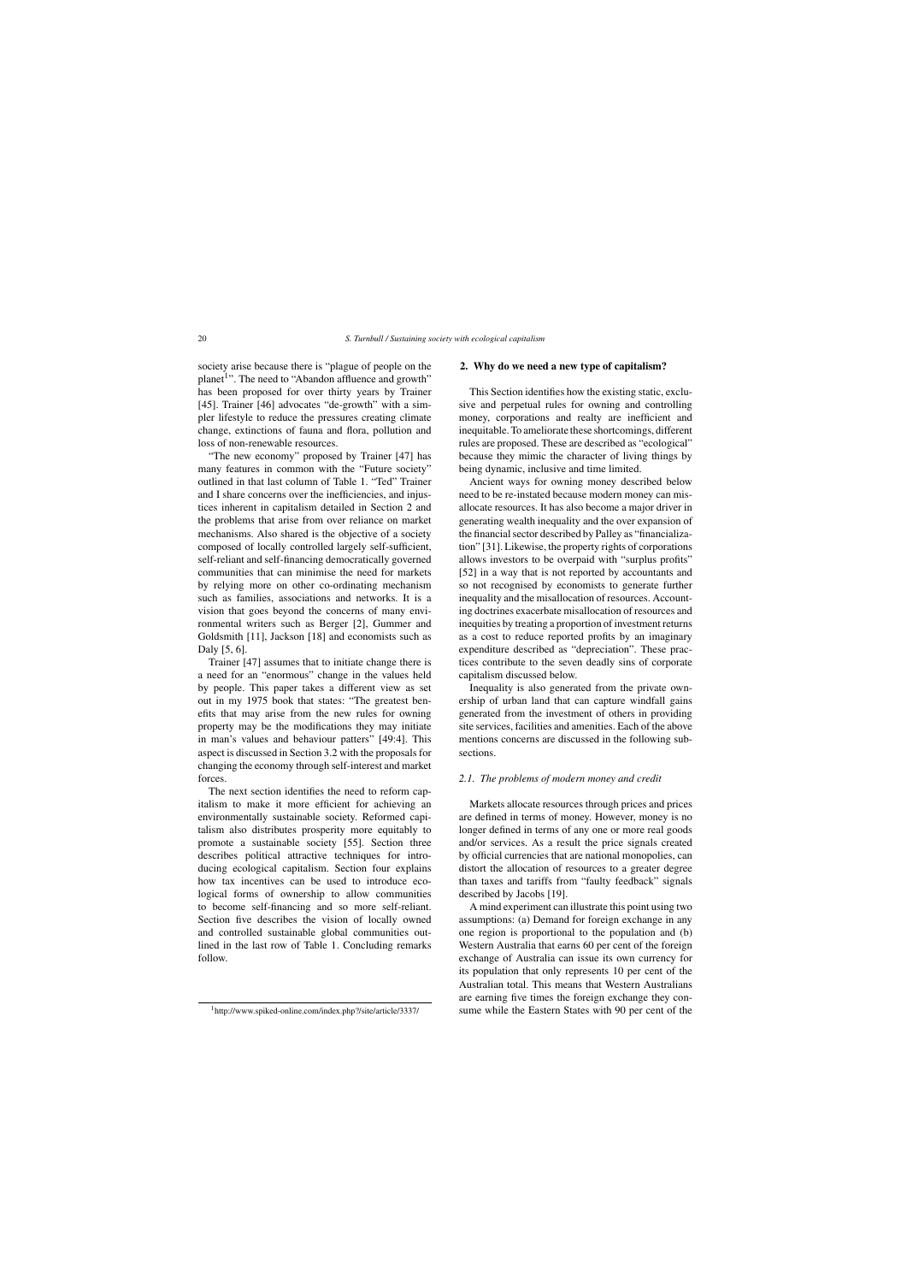society arise because there is "plague of people on the planet<sup>1</sup>". The need to "Abandon affluence and growth" has been proposed for over thirty years by Trainer [45]. Trainer [46] advocates "de-growth" with a simpler lifestyle to reduce the pressures creating climate change, extinctions of fauna and flora, pollution and loss of non-renewable resources.

"The new economy" proposed by Trainer [47] has many features in common with the "Future society" outlined in that last column of Table 1. "Ted" Trainer and I share concerns over the inefficiencies, and injustices inherent in capitalism detailed in Section 2 and the problems that arise from over reliance on market mechanisms. Also shared is the objective of a society composed of locally controlled largely self-sufficient, self-reliant and self-financing democratically governed communities that can minimise the need for markets by relying more on other co-ordinating mechanism such as families, associations and networks. It is a vision that goes beyond the concerns of many environmental writers such as Berger [2], Gummer and Goldsmith [11], Jackson [18] and economists such as Daly [5, 6].

Trainer [47] assumes that to initiate change there is a need for an "enormous" change in the values held by people. This paper takes a different view as set out in my 1975 book that states: "The greatest benefits that may arise from the new rules for owning property may be the modifications they may initiate in man's values and behaviour patters" [49:4]. This aspect is discussed in Section 3.2 with the proposals for changing the economy through self-interest and market forces.

The next section identifies the need to reform capitalism to make it more efficient for achieving an environmentally sustainable society. Reformed capitalism also distributes prosperity more equitably to promote a sustainable society [55]. Section three describes political attractive techniques for introducing ecological capitalism. Section four explains how tax incentives can be used to introduce ecological forms of ownership to allow communities to become self-financing and so more self-reliant. Section five describes the vision of locally owned and controlled sustainable global communities outlined in the last row of Table 1. Concluding remarks follow.

## **2. Why do we need a new type of capitalism?**

This Section identifies how the existing static, exclusive and perpetual rules for owning and controlling money, corporations and realty are inefficient and inequitable. To ameliorate these shortcomings, different rules are proposed. These are described as "ecological" because they mimic the character of living things by being dynamic, inclusive and time limited.

Ancient ways for owning money described below need to be re-instated because modern money can misallocate resources. It has also become a major driver in generating wealth inequality and the over expansion of the financial sector described by Palley as "financialization" [31]. Likewise, the property rights of corporations allows investors to be overpaid with "surplus profits" [52] in a way that is not reported by accountants and so not recognised by economists to generate further inequality and the misallocation of resources. Accounting doctrines exacerbate misallocation of resources and inequities by treating a proportion of investment returns as a cost to reduce reported profits by an imaginary expenditure described as "depreciation". These practices contribute to the seven deadly sins of corporate capitalism discussed below.

Inequality is also generated from the private ownership of urban land that can capture windfall gains generated from the investment of others in providing site services, facilities and amenities. Each of the above mentions concerns are discussed in the following subsections.

## *2.1. The problems of modern money and credit*

Markets allocate resources through prices and prices are defined in terms of money. However, money is no longer defined in terms of any one or more real goods and/or services. As a result the price signals created by official currencies that are national monopolies, can distort the allocation of resources to a greater degree than taxes and tariffs from "faulty feedback" signals described by Jacobs [19].

A mind experiment can illustrate this point using two assumptions: (a) Demand for foreign exchange in any one region is proportional to the population and (b) Western Australia that earns 60 per cent of the foreign exchange of Australia can issue its own currency for its population that only represents 10 per cent of the Australian total. This means that Western Australians are earning five times the foreign exchange they consume while the Eastern States with 90 per cent of the

<sup>1</sup><http://www.spiked-online.com/index.php?/site/article/3337/>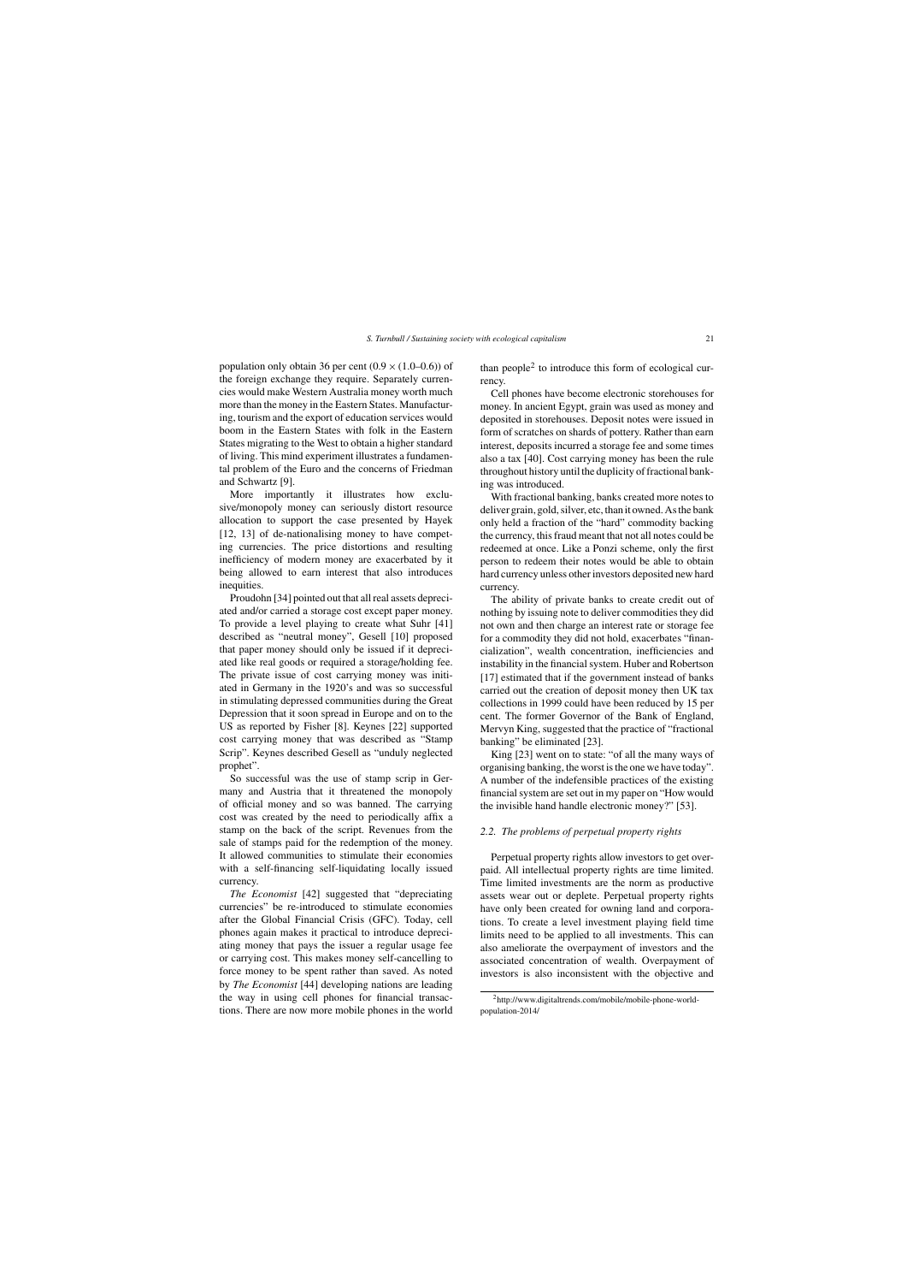population only obtain 36 per cent  $(0.9 \times (1.0{\text -}0.6))$  of the foreign exchange they require. Separately currencies would make Western Australia money worth much more than the money in the Eastern States. Manufacturing, tourism and the export of education services would boom in the Eastern States with folk in the Eastern States migrating to the West to obtain a higher standard of living. This mind experiment illustrates a fundamental problem of the Euro and the concerns of Friedman and Schwartz [9].

More importantly it illustrates how exclusive/monopoly money can seriously distort resource allocation to support the case presented by Hayek [12, 13] of de-nationalising money to have competing currencies. The price distortions and resulting inefficiency of modern money are exacerbated by it being allowed to earn interest that also introduces inequities.

Proudohn [34] pointed out that all real assets depreciated and/or carried a storage cost except paper money. To provide a level playing to create what Suhr [41] described as "neutral money", Gesell [10] proposed that paper money should only be issued if it depreciated like real goods or required a storage/holding fee. The private issue of cost carrying money was initiated in Germany in the 1920's and was so successful in stimulating depressed communities during the Great Depression that it soon spread in Europe and on to the US as reported by Fisher [8]. Keynes [22] supported cost carrying money that was described as "Stamp Scrip". Keynes described Gesell as "unduly neglected prophet".

So successful was the use of stamp scrip in Germany and Austria that it threatened the monopoly of official money and so was banned. The carrying cost was created by the need to periodically affix a stamp on the back of the script. Revenues from the sale of stamps paid for the redemption of the money. It allowed communities to stimulate their economies with a self-financing self-liquidating locally issued currency.

*The Economist* [42] suggested that "depreciating currencies" be re-introduced to stimulate economies after the Global Financial Crisis (GFC). Today, cell phones again makes it practical to introduce depreciating money that pays the issuer a regular usage fee or carrying cost. This makes money self-cancelling to force money to be spent rather than saved. As noted by *The Economist* [44] developing nations are leading the way in using cell phones for financial transactions. There are now more mobile phones in the world than people<sup>2</sup> to introduce this form of ecological currency.

Cell phones have become electronic storehouses for money. In ancient Egypt, grain was used as money and deposited in storehouses. Deposit notes were issued in form of scratches on shards of pottery. Rather than earn interest, deposits incurred a storage fee and some times also a tax [40]. Cost carrying money has been the rule throughout history until the duplicity of fractional banking was introduced.

With fractional banking, banks created more notes to deliver grain, gold, silver, etc, than it owned. As the bank only held a fraction of the "hard" commodity backing the currency, this fraud meant that not all notes could be redeemed at once. Like a Ponzi scheme, only the first person to redeem their notes would be able to obtain hard currency unless other investors deposited new hard currency.

The ability of private banks to create credit out of nothing by issuing note to deliver commodities they did not own and then charge an interest rate or storage fee for a commodity they did not hold, exacerbates "financialization", wealth concentration, inefficiencies and instability in the financial system. Huber and Robertson [17] estimated that if the government instead of banks carried out the creation of deposit money then UK tax collections in 1999 could have been reduced by 15 per cent. The former Governor of the Bank of England, Mervyn King, suggested that the practice of "fractional banking" be eliminated [23].

King [23] went on to state: "of all the many ways of organising banking, the worst is the one we have today". A number of the indefensible practices of the existing financial system are set out in my paper on "How would the invisible hand handle electronic money?" [53].

## *2.2. The problems of perpetual property rights*

Perpetual property rights allow investors to get overpaid. All intellectual property rights are time limited. Time limited investments are the norm as productive assets wear out or deplete. Perpetual property rights have only been created for owning land and corporations. To create a level investment playing field time limits need to be applied to all investments. This can also ameliorate the overpayment of investors and the associated concentration of wealth. Overpayment of investors is also inconsistent with the objective and

<sup>2</sup>[http://www.digitaltrends.com/mobile/mobile-phone-world](http://www.digitaltrends.com/mobile/mobile-phone-world-population-2014/)population-2014/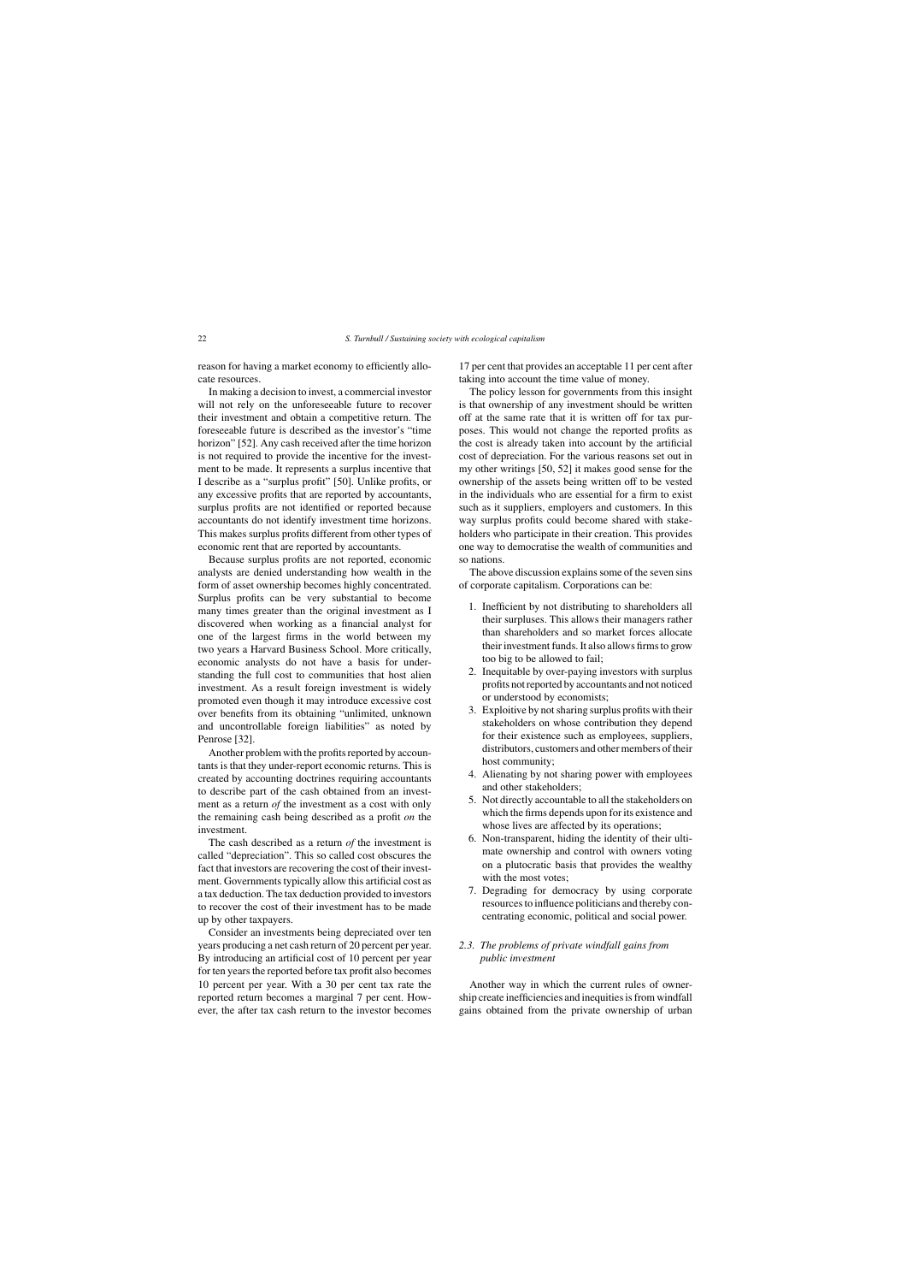reason for having a market economy to efficiently allocate resources.

In making a decision to invest, a commercial investor will not rely on the unforeseeable future to recover their investment and obtain a competitive return. The foreseeable future is described as the investor's "time horizon" [52]. Any cash received after the time horizon is not required to provide the incentive for the investment to be made. It represents a surplus incentive that I describe as a "surplus profit" [50]. Unlike profits, or any excessive profits that are reported by accountants, surplus profits are not identified or reported because accountants do not identify investment time horizons. This makes surplus profits different from other types of economic rent that are reported by accountants.

Because surplus profits are not reported, economic analysts are denied understanding how wealth in the form of asset ownership becomes highly concentrated. Surplus profits can be very substantial to become many times greater than the original investment as I discovered when working as a financial analyst for one of the largest firms in the world between my two years a Harvard Business School. More critically, economic analysts do not have a basis for understanding the full cost to communities that host alien investment. As a result foreign investment is widely promoted even though it may introduce excessive cost over benefits from its obtaining "unlimited, unknown and uncontrollable foreign liabilities" as noted by Penrose [32].

Another problem with the profits reported by accountants is that they under-report economic returns. This is created by accounting doctrines requiring accountants to describe part of the cash obtained from an investment as a return *of* the investment as a cost with only the remaining cash being described as a profit *on* the investment.

The cash described as a return *of* the investment is called "depreciation". This so called cost obscures the fact that investors are recovering the cost of their investment. Governments typically allow this artificial cost as a tax deduction. The tax deduction provided to investors to recover the cost of their investment has to be made up by other taxpayers.

Consider an investments being depreciated over ten years producing a net cash return of 20 percent per year. By introducing an artificial cost of 10 percent per year for ten years the reported before tax profit also becomes 10 percent per year. With a 30 per cent tax rate the reported return becomes a marginal 7 per cent. However, the after tax cash return to the investor becomes

17 per cent that provides an acceptable 11 per cent after taking into account the time value of money.

The policy lesson for governments from this insight is that ownership of any investment should be written off at the same rate that it is written off for tax purposes. This would not change the reported profits as the cost is already taken into account by the artificial cost of depreciation. For the various reasons set out in my other writings [50, 52] it makes good sense for the ownership of the assets being written off to be vested in the individuals who are essential for a firm to exist such as it suppliers, employers and customers. In this way surplus profits could become shared with stakeholders who participate in their creation. This provides one way to democratise the wealth of communities and so nations.

The above discussion explains some of the seven sins of corporate capitalism. Corporations can be:

- 1. Inefficient by not distributing to shareholders all their surpluses. This allows their managers rather than shareholders and so market forces allocate their investment funds. It also allows firms to grow too big to be allowed to fail;
- 2. Inequitable by over-paying investors with surplus profits not reported by accountants and not noticed or understood by economists;
- 3. Exploitive by not sharing surplus profits with their stakeholders on whose contribution they depend for their existence such as employees, suppliers, distributors, customers and other members of their host community;
- 4. Alienating by not sharing power with employees and other stakeholders;
- 5. Not directly accountable to all the stakeholders on which the firms depends upon for its existence and whose lives are affected by its operations;
- 6. Non-transparent, hiding the identity of their ultimate ownership and control with owners voting on a plutocratic basis that provides the wealthy with the most votes;
- 7. Degrading for democracy by using corporate resources to influence politicians and thereby concentrating economic, political and social power.

# *2.3. The problems of private windfall gains from public investment*

Another way in which the current rules of ownership create inefficiencies and inequities is from windfall gains obtained from the private ownership of urban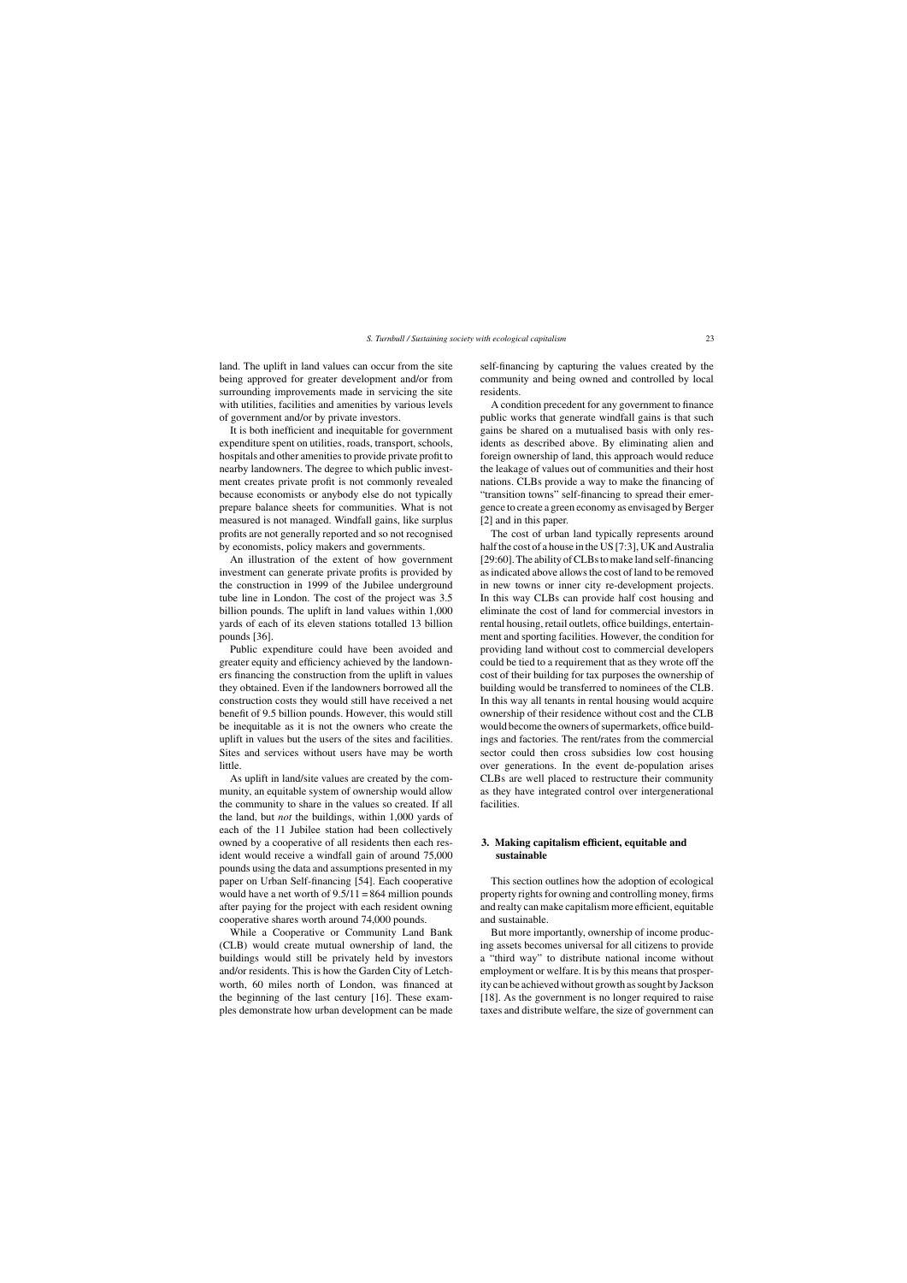land. The uplift in land values can occur from the site being approved for greater development and/or from surrounding improvements made in servicing the site with utilities, facilities and amenities by various levels of government and/or by private investors.

It is both inefficient and inequitable for government expenditure spent on utilities, roads, transport, schools, hospitals and other amenities to provide private profit to nearby landowners. The degree to which public investment creates private profit is not commonly revealed because economists or anybody else do not typically prepare balance sheets for communities. What is not measured is not managed. Windfall gains, like surplus profits are not generally reported and so not recognised by economists, policy makers and governments.

An illustration of the extent of how government investment can generate private profits is provided by the construction in 1999 of the Jubilee underground tube line in London. The cost of the project was 3.5 billion pounds. The uplift in land values within 1,000 yards of each of its eleven stations totalled 13 billion pounds [36].

Public expenditure could have been avoided and greater equity and efficiency achieved by the landowners financing the construction from the uplift in values they obtained. Even if the landowners borrowed all the construction costs they would still have received a net benefit of 9.5 billion pounds. However, this would still be inequitable as it is not the owners who create the uplift in values but the users of the sites and facilities. Sites and services without users have may be worth little.

As uplift in land/site values are created by the community, an equitable system of ownership would allow the community to share in the values so created. If all the land, but *not* the buildings, within 1,000 yards of each of the 11 Jubilee station had been collectively owned by a cooperative of all residents then each resident would receive a windfall gain of around 75,000 pounds using the data and assumptions presented in my paper on Urban Self-financing [54]. Each cooperative would have a net worth of  $9.5/11 = 864$  million pounds after paying for the project with each resident owning cooperative shares worth around 74,000 pounds.

While a Cooperative or Community Land Bank (CLB) would create mutual ownership of land, the buildings would still be privately held by investors and/or residents. This is how the Garden City of Letchworth, 60 miles north of London, was financed at the beginning of the last century [16]. These examples demonstrate how urban development can be made self-financing by capturing the values created by the community and being owned and controlled by local residents.

A condition precedent for any government to finance public works that generate windfall gains is that such gains be shared on a mutualised basis with only residents as described above. By eliminating alien and foreign ownership of land, this approach would reduce the leakage of values out of communities and their host nations. CLBs provide a way to make the financing of "transition towns" self-financing to spread their emergence to create a green economy as envisaged by Berger [2] and in this paper.

The cost of urban land typically represents around half the cost of a house in the US [7:3], UK and Australia [29:60]. The ability of CLBs to make land self-financing as indicated above allows the cost of land to be removed in new towns or inner city re-development projects. In this way CLBs can provide half cost housing and eliminate the cost of land for commercial investors in rental housing, retail outlets, office buildings, entertainment and sporting facilities. However, the condition for providing land without cost to commercial developers could be tied to a requirement that as they wrote off the cost of their building for tax purposes the ownership of building would be transferred to nominees of the CLB. In this way all tenants in rental housing would acquire ownership of their residence without cost and the CLB would become the owners of supermarkets, office buildings and factories. The rent/rates from the commercial sector could then cross subsidies low cost housing over generations. In the event de-population arises CLBs are well placed to restructure their community as they have integrated control over intergenerational facilities.

## **3. Making capitalism efficient, equitable and sustainable**

This section outlines how the adoption of ecological property rights for owning and controlling money, firms and realty can make capitalism more efficient, equitable and sustainable.

But more importantly, ownership of income producing assets becomes universal for all citizens to provide a "third way" to distribute national income without employment or welfare. It is by this means that prosperity can be achieved without growth as sought by Jackson [18]. As the government is no longer required to raise taxes and distribute welfare, the size of government can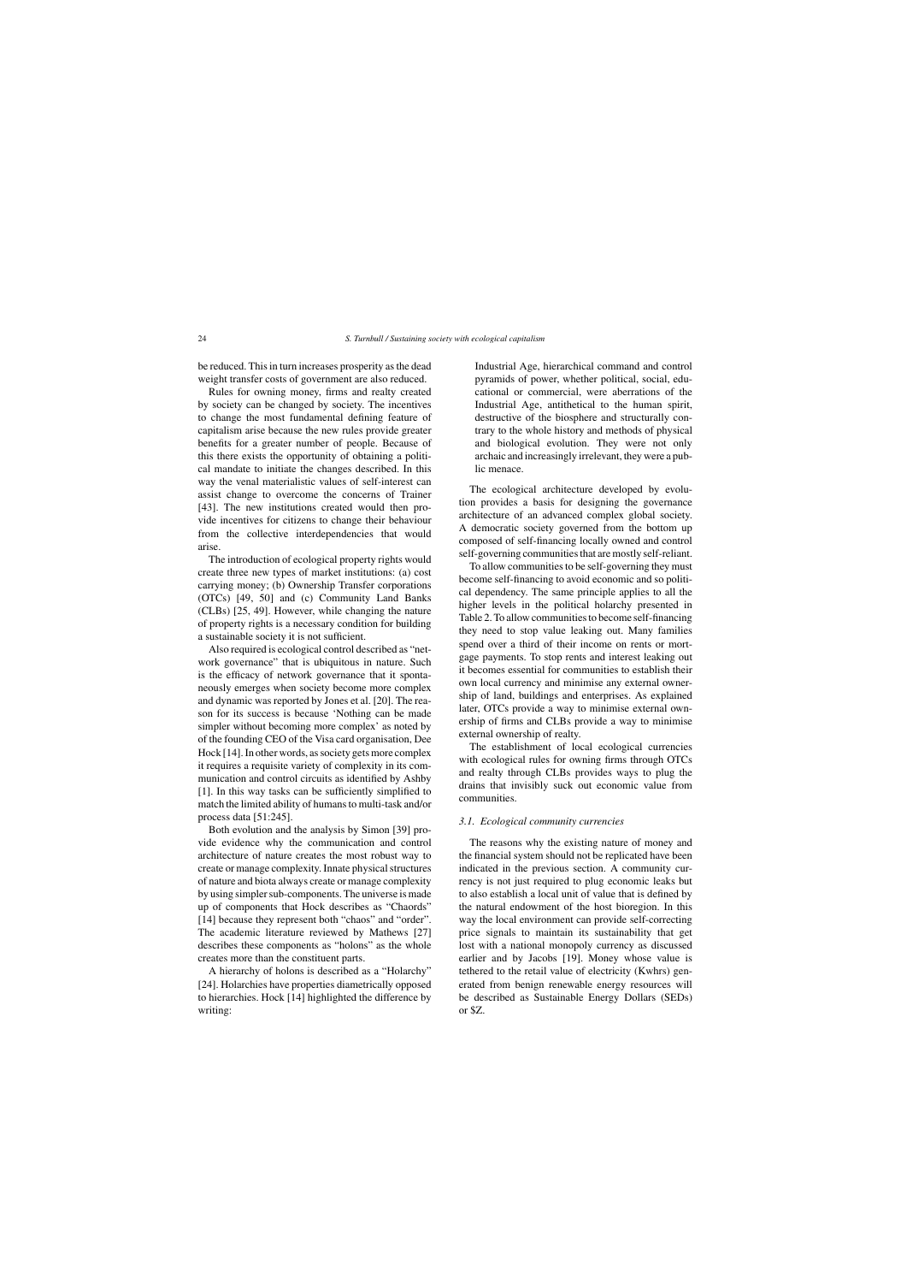be reduced. This in turn increases prosperity as the dead weight transfer costs of government are also reduced.

Rules for owning money, firms and realty created by society can be changed by society. The incentives to change the most fundamental defining feature of capitalism arise because the new rules provide greater benefits for a greater number of people. Because of this there exists the opportunity of obtaining a political mandate to initiate the changes described. In this way the venal materialistic values of self-interest can assist change to overcome the concerns of Trainer [43]. The new institutions created would then provide incentives for citizens to change their behaviour from the collective interdependencies that would arise.

The introduction of ecological property rights would create three new types of market institutions: (a) cost carrying money; (b) Ownership Transfer corporations (OTCs) [49, 50] and (c) Community Land Banks (CLBs) [25, 49]. However, while changing the nature of property rights is a necessary condition for building a sustainable society it is not sufficient.

Also required is ecological control described as "network governance" that is ubiquitous in nature. Such is the efficacy of network governance that it spontaneously emerges when society become more complex and dynamic was reported by Jones et al. [20]. The reason for its success is because 'Nothing can be made simpler without becoming more complex' as noted by of the founding CEO of the Visa card organisation, Dee Hock [14]. In other words, as society gets more complex it requires a requisite variety of complexity in its communication and control circuits as identified by Ashby [1]. In this way tasks can be sufficiently simplified to match the limited ability of humans to multi-task and/or process data [51:245].

Both evolution and the analysis by Simon [39] provide evidence why the communication and control architecture of nature creates the most robust way to create or manage complexity. Innate physical structures of nature and biota always create or manage complexity by using simpler sub-components. The universe is made up of components that Hock describes as "Chaords" [14] because they represent both "chaos" and "order". The academic literature reviewed by Mathews [27] describes these components as "holons" as the whole creates more than the constituent parts.

A hierarchy of holons is described as a "Holarchy" [24]. Holarchies have properties diametrically opposed to hierarchies. Hock [14] highlighted the difference by writing:

Industrial Age, hierarchical command and control pyramids of power, whether political, social, educational or commercial, were aberrations of the Industrial Age, antithetical to the human spirit, destructive of the biosphere and structurally contrary to the whole history and methods of physical and biological evolution. They were not only archaic and increasingly irrelevant, they were a public menace.

The ecological architecture developed by evolution provides a basis for designing the governance architecture of an advanced complex global society. A democratic society governed from the bottom up composed of self-financing locally owned and control self-governing communities that are mostly self-reliant.

To allow communities to be self-governing they must become self-financing to avoid economic and so political dependency. The same principle applies to all the higher levels in the political holarchy presented in Table 2. To allow communities to become self-financing they need to stop value leaking out. Many families spend over a third of their income on rents or mortgage payments. To stop rents and interest leaking out it becomes essential for communities to establish their own local currency and minimise any external ownership of land, buildings and enterprises. As explained later, OTCs provide a way to minimise external ownership of firms and CLBs provide a way to minimise external ownership of realty.

The establishment of local ecological currencies with ecological rules for owning firms through OTCs and realty through CLBs provides ways to plug the drains that invisibly suck out economic value from communities.

# *3.1. Ecological community currencies*

The reasons why the existing nature of money and the financial system should not be replicated have been indicated in the previous section. A community currency is not just required to plug economic leaks but to also establish a local unit of value that is defined by the natural endowment of the host bioregion. In this way the local environment can provide self-correcting price signals to maintain its sustainability that get lost with a national monopoly currency as discussed earlier and by Jacobs [19]. Money whose value is tethered to the retail value of electricity (Kwhrs) generated from benign renewable energy resources will be described as Sustainable Energy Dollars (SEDs) or \$Z.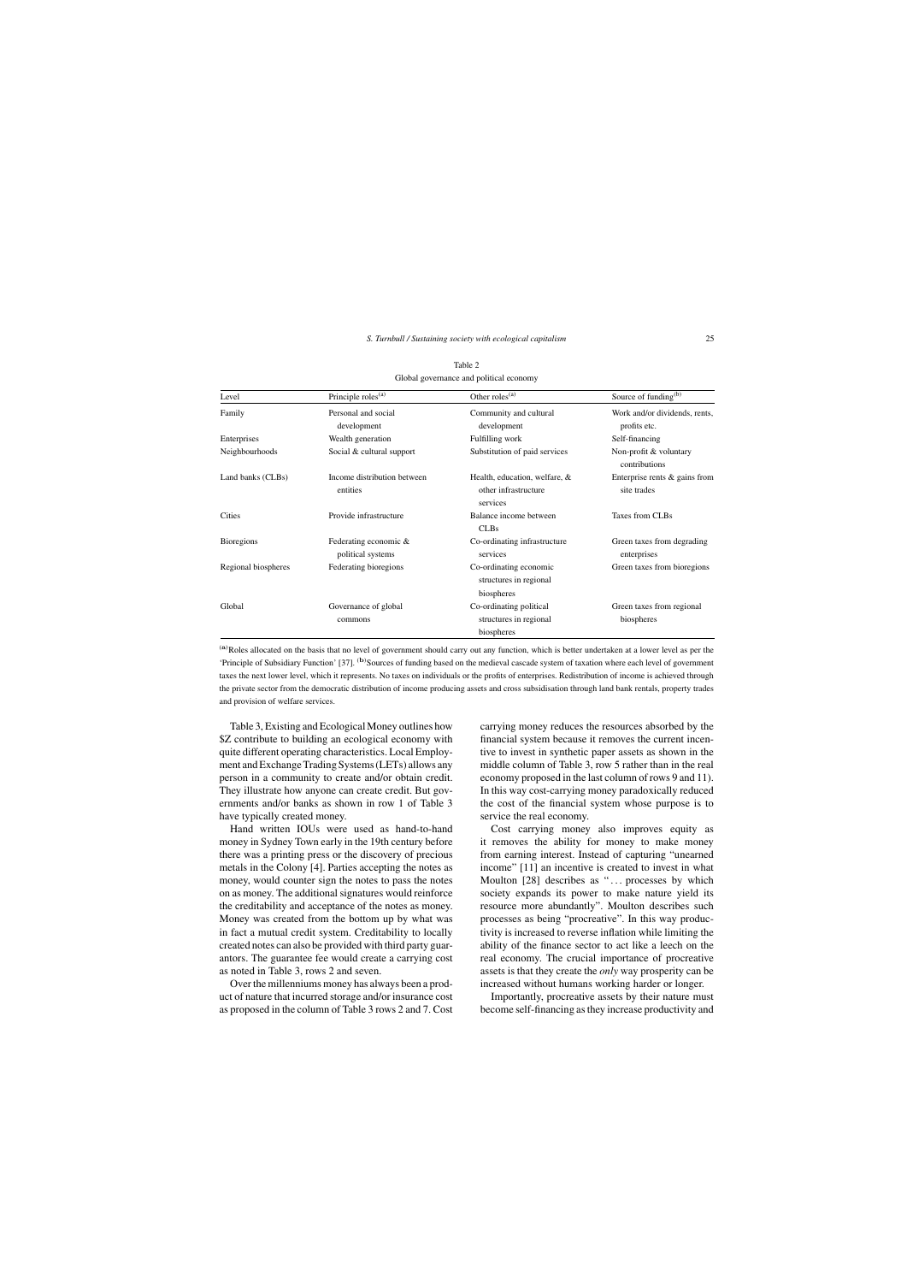| Level               | Principle roles <sup>(a)</sup>             | Other roles $(a)$                                                 | Source of funding <sup>(b)</sup>              |
|---------------------|--------------------------------------------|-------------------------------------------------------------------|-----------------------------------------------|
| Family              | Personal and social<br>development         | Community and cultural<br>development                             | Work and/or dividends, rents,<br>profits etc. |
| Enterprises         | Wealth generation                          | Fulfilling work                                                   | Self-financing                                |
| Neighbourhoods      | Social & cultural support                  | Substitution of paid services                                     | Non-profit & voluntary<br>contributions       |
| Land banks (CLBs)   | Income distribution between<br>entities    | Health, education, welfare, &<br>other infrastructure<br>services | Enterprise rents & gains from<br>site trades  |
| Cities              | Provide infrastructure                     | Balance income between<br><b>CLBs</b>                             | Taxes from CLBs                               |
| <b>Bioregions</b>   | Federating economic &<br>political systems | Co-ordinating infrastructure<br>services                          | Green taxes from degrading<br>enterprises     |
| Regional biospheres | Federating bioregions                      | Co-ordinating economic<br>structures in regional<br>biospheres    | Green taxes from bioregions                   |
| Global              | Governance of global<br>commons            | Co-ordinating political<br>structures in regional<br>biospheres   | Green taxes from regional<br>biospheres       |

| Table 2                                 |
|-----------------------------------------|
| Global governance and political economy |

(**a**) Roles allocated on the basis that no level of government should carry out any function, which is better undertaken at a lower level as per the 'Principle of Subsidiary Function' [37]. (**b**) Sources of funding based on the medieval cascade system of taxation where each level of government taxes the next lower level, which it represents. No taxes on individuals or the profits of enterprises. Redistribution of income is achieved through the private sector from the democratic distribution of income producing assets and cross subsidisation through land bank rentals, property trades and provision of welfare services.

Table 3, Existing and Ecological Money outlines how \$Z contribute to building an ecological economy with quite different operating characteristics. Local Employment and Exchange Trading Systems (LETs) allows any person in a community to create and/or obtain credit. They illustrate how anyone can create credit. But governments and/or banks as shown in row 1 of Table 3 have typically created money.

Hand written IOUs were used as hand-to-hand money in Sydney Town early in the 19th century before there was a printing press or the discovery of precious metals in the Colony [4]. Parties accepting the notes as money, would counter sign the notes to pass the notes on as money. The additional signatures would reinforce the creditability and acceptance of the notes as money. Money was created from the bottom up by what was in fact a mutual credit system. Creditability to locally created notes can also be provided with third party guarantors. The guarantee fee would create a carrying cost as noted in Table 3, rows 2 and seven.

Over the millenniums money has always been a product of nature that incurred storage and/or insurance cost as proposed in the column of Table 3 rows 2 and 7. Cost carrying money reduces the resources absorbed by the financial system because it removes the current incentive to invest in synthetic paper assets as shown in the middle column of Table 3, row 5 rather than in the real economy proposed in the last column of rows 9 and 11). In this way cost-carrying money paradoxically reduced the cost of the financial system whose purpose is to service the real economy.

Cost carrying money also improves equity as it removes the ability for money to make money from earning interest. Instead of capturing "unearned income" [11] an incentive is created to invest in what Moulton [28] describes as "... processes by which society expands its power to make nature yield its resource more abundantly". Moulton describes such processes as being "procreative". In this way productivity is increased to reverse inflation while limiting the ability of the finance sector to act like a leech on the real economy. The crucial importance of procreative assets is that they create the *only* way prosperity can be increased without humans working harder or longer.

Importantly, procreative assets by their nature must become self-financing as they increase productivity and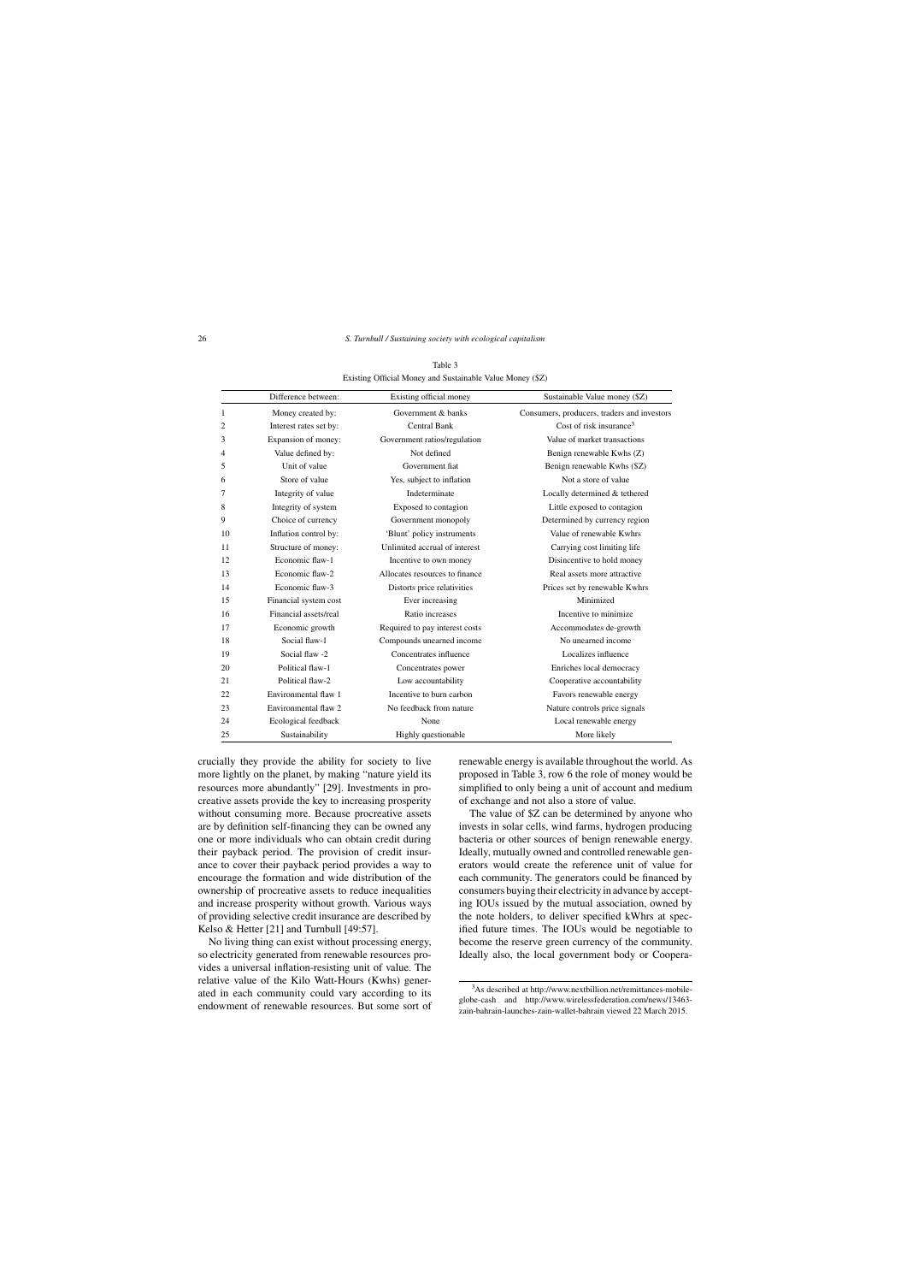| Table 3                                                   |
|-----------------------------------------------------------|
| Existing Official Money and Sustainable Value Money (\$Z) |

|                | Difference between:    | Existing official money        | Sustainable Value money (\$Z)               |
|----------------|------------------------|--------------------------------|---------------------------------------------|
| 1              | Money created by:      | Government & banks             | Consumers, producers, traders and investors |
| $\overline{2}$ | Interest rates set by: | <b>Central Bank</b>            | Cost of risk insurance <sup>3</sup>         |
| 3              | Expansion of money:    | Government ratios/regulation   | Value of market transactions                |
| 4              | Value defined by:      | Not defined                    | Benign renewable Kwhs (Z)                   |
| 5              | Unit of value          | Government fiat                | Benign renewable Kwhs (\$Z)                 |
| 6              | Store of value         | Yes, subject to inflation      | Not a store of value                        |
| 7              | Integrity of value     | Indeterminate                  | Locally determined & tethered               |
| 8              | Integrity of system    | Exposed to contagion           | Little exposed to contagion                 |
| 9              | Choice of currency     | Government monopoly            | Determined by currency region               |
| 10             | Inflation control by:  | 'Blunt' policy instruments     | Value of renewable Kwhrs                    |
| 11             | Structure of money:    | Unlimited accrual of interest  | Carrying cost limiting life                 |
| 12             | Economic flaw-1        | Incentive to own money         | Disincentive to hold money                  |
| 13             | Economic flaw-2        | Allocates resources to finance | Real assets more attractive                 |
| 14             | Economic flaw-3        | Distorts price relativities    | Prices set by renewable Kwhrs               |
| 15             | Financial system cost  | Ever increasing                | Minimized                                   |
| 16             | Financial assets/real  | Ratio increases                | Incentive to minimize                       |
| 17             | Economic growth        | Required to pay interest costs | Accommodates de-growth                      |
| 18             | Social flaw-1          | Compounds unearned income      | No unearned income                          |
| 19             | Social flaw -2         | Concentrates influence         | Localizes influence                         |
| 20             | Political flaw-1       | Concentrates power             | Enriches local democracy                    |
| 21             | Political flaw-2       | Low accountability             | Cooperative accountability                  |
| 22             | Environmental flaw 1   | Incentive to burn carbon       | Favors renewable energy                     |
| 23             | Environmental flaw 2   | No feedback from nature        | Nature controls price signals               |
| 24             | Ecological feedback    | None                           | Local renewable energy                      |
| 25             | Sustainability         | Highly questionable            | More likely                                 |

crucially they provide the ability for society to live more lightly on the planet, by making "nature yield its resources more abundantly" [29]. Investments in procreative assets provide the key to increasing prosperity without consuming more. Because procreative assets are by definition self-financing they can be owned any one or more individuals who can obtain credit during their payback period. The provision of credit insurance to cover their payback period provides a way to encourage the formation and wide distribution of the ownership of procreative assets to reduce inequalities and increase prosperity without growth. Various ways of providing selective credit insurance are described by Kelso & Hetter [21] and Turnbull [49:57].

No living thing can exist without processing energy, so electricity generated from renewable resources provides a universal inflation-resisting unit of value. The relative value of the Kilo Watt-Hours (Kwhs) generated in each community could vary according to its endowment of renewable resources. But some sort of renewable energy is available throughout the world. As proposed in Table 3, row 6 the role of money would be simplified to only being a unit of account and medium of exchange and not also a store of value.

The value of \$Z can be determined by anyone who invests in solar cells, wind farms, hydrogen producing bacteria or other sources of benign renewable energy. Ideally, mutually owned and controlled renewable generators would create the reference unit of value for each community. The generators could be financed by consumers buying their electricity in advance by accepting IOUs issued by the mutual association, owned by the note holders, to deliver specified kWhrs at specified future times. The IOUs would be negotiable to become the reserve green currency of the community. Ideally also, the local government body or Coopera-

<sup>3</sup> As described at [http://www.nextbillion.net/remittances-mobile](http://www.nextbillion.net/remittances-mobile-globe-cash)globe-cash and [http://www.wirelessfederation.com/news/13463](http://www.wirelessfederation.com/news/13463-zain-bahrain-launches-zain-wallet-bahrain) zain-bahrain-launches-zain-wallet-bahrain viewed 22 March 2015.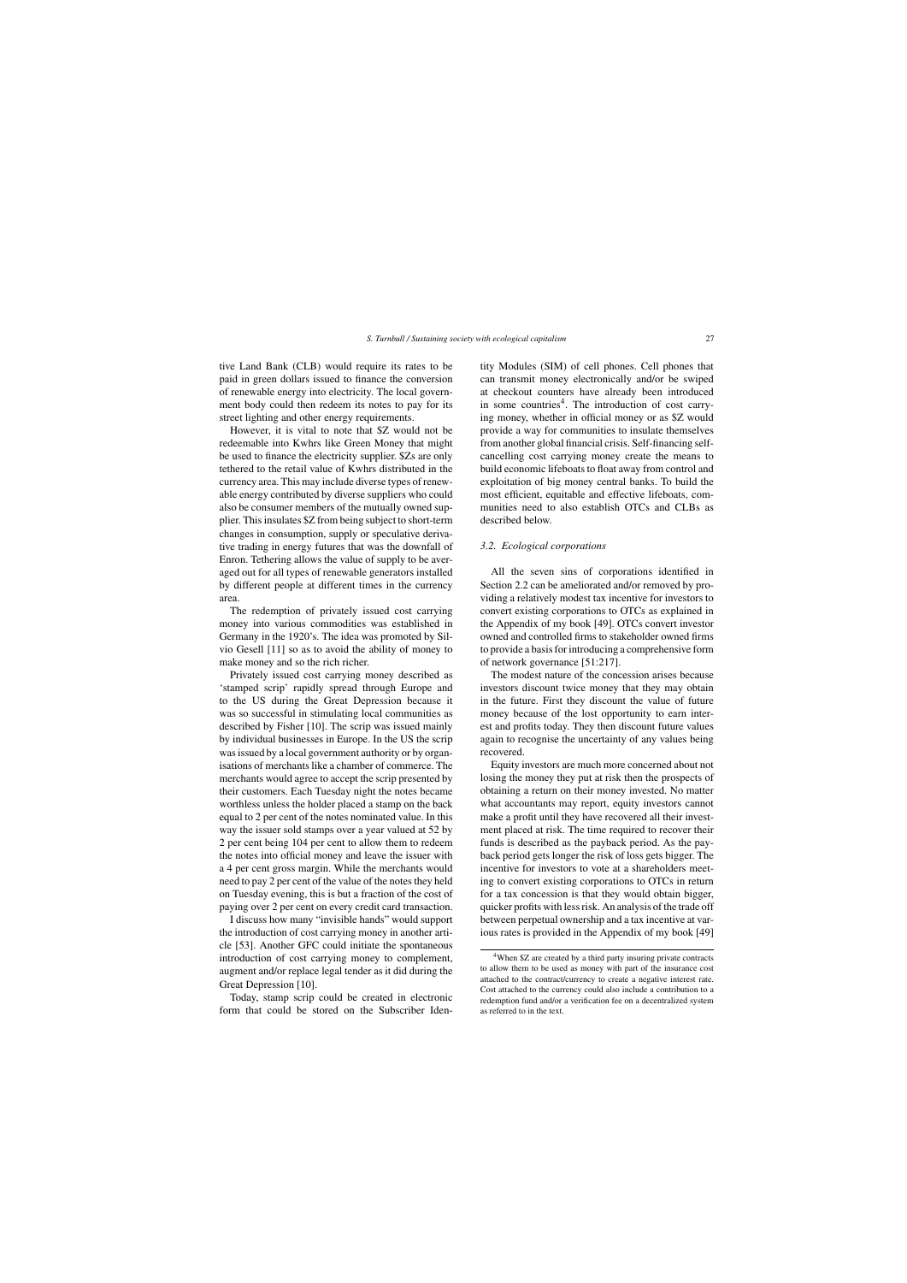tive Land Bank (CLB) would require its rates to be paid in green dollars issued to finance the conversion of renewable energy into electricity. The local government body could then redeem its notes to pay for its street lighting and other energy requirements.

However, it is vital to note that \$Z would not be redeemable into Kwhrs like Green Money that might be used to finance the electricity supplier. \$Zs are only tethered to the retail value of Kwhrs distributed in the currency area. This may include diverse types of renewable energy contributed by diverse suppliers who could also be consumer members of the mutually owned supplier. This insulates \$Z from being subject to short-term changes in consumption, supply or speculative derivative trading in energy futures that was the downfall of Enron. Tethering allows the value of supply to be averaged out for all types of renewable generators installed by different people at different times in the currency area.

The redemption of privately issued cost carrying money into various commodities was established in Germany in the 1920's. The idea was promoted by Silvio Gesell [11] so as to avoid the ability of money to make money and so the rich richer.

Privately issued cost carrying money described as 'stamped scrip' rapidly spread through Europe and to the US during the Great Depression because it was so successful in stimulating local communities as described by Fisher [10]. The scrip was issued mainly by individual businesses in Europe. In the US the scrip was issued by a local government authority or by organisations of merchants like a chamber of commerce. The merchants would agree to accept the scrip presented by their customers. Each Tuesday night the notes became worthless unless the holder placed a stamp on the back equal to 2 per cent of the notes nominated value. In this way the issuer sold stamps over a year valued at 52 by 2 per cent being 104 per cent to allow them to redeem the notes into official money and leave the issuer with a 4 per cent gross margin. While the merchants would need to pay 2 per cent of the value of the notes they held on Tuesday evening, this is but a fraction of the cost of paying over 2 per cent on every credit card transaction.

I discuss how many "invisible hands" would support the introduction of cost carrying money in another article [53]. Another GFC could initiate the spontaneous introduction of cost carrying money to complement, augment and/or replace legal tender as it did during the Great Depression [10].

Today, stamp scrip could be created in electronic form that could be stored on the Subscriber Identity Modules (SIM) of cell phones. Cell phones that can transmit money electronically and/or be swiped at checkout counters have already been introduced in some countries<sup>4</sup>. The introduction of cost carrying money, whether in official money or as \$Z would provide a way for communities to insulate themselves from another global financial crisis. Self-financing selfcancelling cost carrying money create the means to build economic lifeboats to float away from control and exploitation of big money central banks. To build the most efficient, equitable and effective lifeboats, communities need to also establish OTCs and CLBs as described below.

## *3.2. Ecological corporations*

All the seven sins of corporations identified in Section 2.2 can be ameliorated and/or removed by providing a relatively modest tax incentive for investors to convert existing corporations to OTCs as explained in the Appendix of my book [49]. OTCs convert investor owned and controlled firms to stakeholder owned firms to provide a basis for introducing a comprehensive form of network governance [51:217].

The modest nature of the concession arises because investors discount twice money that they may obtain in the future. First they discount the value of future money because of the lost opportunity to earn interest and profits today. They then discount future values again to recognise the uncertainty of any values being recovered.

Equity investors are much more concerned about not losing the money they put at risk then the prospects of obtaining a return on their money invested. No matter what accountants may report, equity investors cannot make a profit until they have recovered all their investment placed at risk. The time required to recover their funds is described as the payback period. As the payback period gets longer the risk of loss gets bigger. The incentive for investors to vote at a shareholders meeting to convert existing corporations to OTCs in return for a tax concession is that they would obtain bigger, quicker profits with less risk. An analysis of the trade off between perpetual ownership and a tax incentive at various rates is provided in the Appendix of my book [49]

<sup>4</sup>When \$Z are created by a third party insuring private contracts to allow them to be used as money with part of the insurance cost attached to the contract/currency to create a negative interest rate. Cost attached to the currency could also include a contribution to a redemption fund and/or a verification fee on a decentralized system as referred to in the text.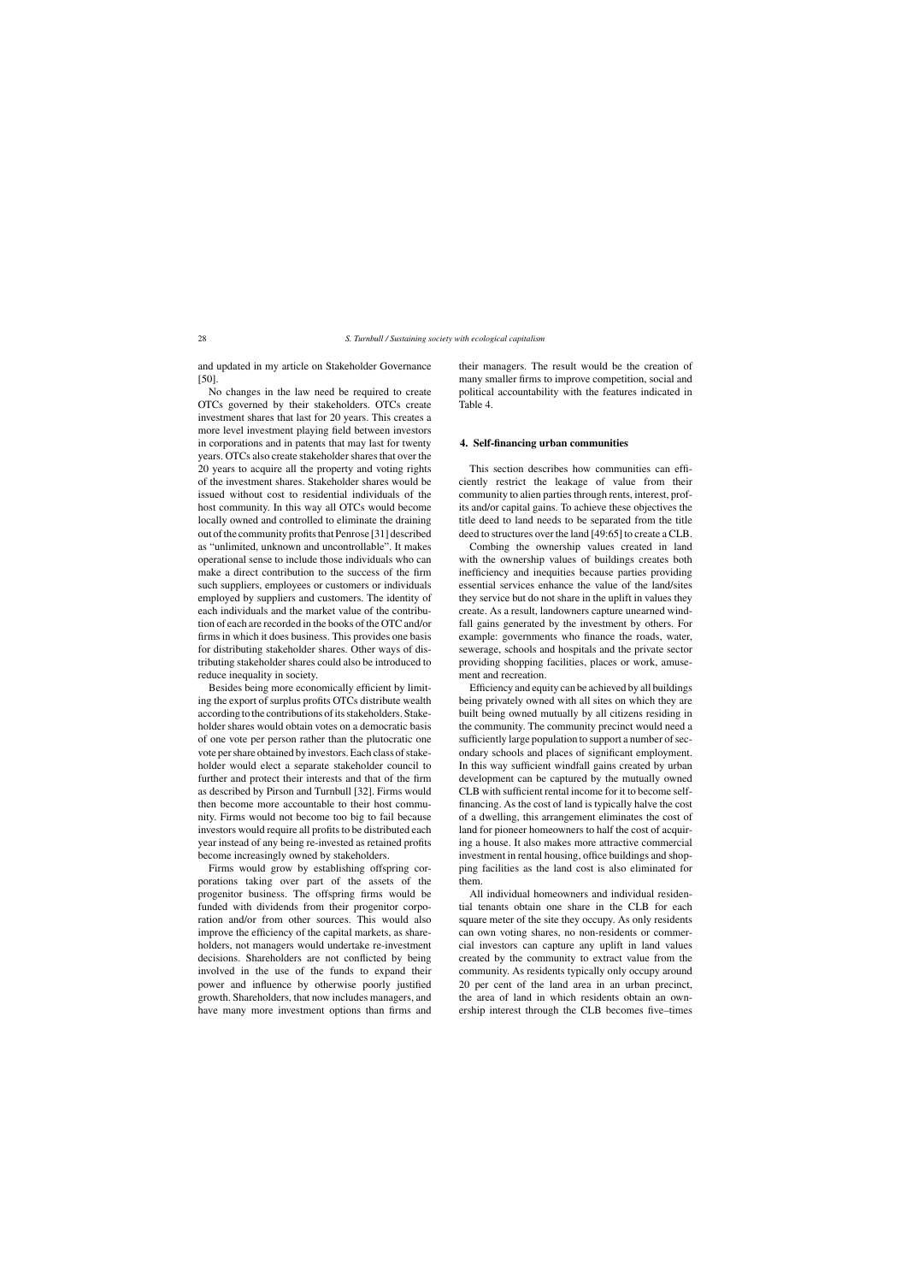and updated in my article on Stakeholder Governance [50].

No changes in the law need be required to create OTCs governed by their stakeholders. OTCs create investment shares that last for 20 years. This creates a more level investment playing field between investors in corporations and in patents that may last for twenty years. OTCs also create stakeholder shares that over the 20 years to acquire all the property and voting rights of the investment shares. Stakeholder shares would be issued without cost to residential individuals of the host community. In this way all OTCs would become locally owned and controlled to eliminate the draining out of the community profits that Penrose [31] described as "unlimited, unknown and uncontrollable". It makes operational sense to include those individuals who can make a direct contribution to the success of the firm such suppliers, employees or customers or individuals employed by suppliers and customers. The identity of each individuals and the market value of the contribution of each are recorded in the books of the OTC and/or firms in which it does business. This provides one basis for distributing stakeholder shares. Other ways of distributing stakeholder shares could also be introduced to reduce inequality in society.

Besides being more economically efficient by limiting the export of surplus profits OTCs distribute wealth according to the contributions of its stakeholders. Stakeholder shares would obtain votes on a democratic basis of one vote per person rather than the plutocratic one vote per share obtained by investors. Each class of stakeholder would elect a separate stakeholder council to further and protect their interests and that of the firm as described by Pirson and Turnbull [32]. Firms would then become more accountable to their host community. Firms would not become too big to fail because investors would require all profits to be distributed each year instead of any being re-invested as retained profits become increasingly owned by stakeholders.

Firms would grow by establishing offspring corporations taking over part of the assets of the progenitor business. The offspring firms would be funded with dividends from their progenitor corporation and/or from other sources. This would also improve the efficiency of the capital markets, as shareholders, not managers would undertake re-investment decisions. Shareholders are not conflicted by being involved in the use of the funds to expand their power and influence by otherwise poorly justified growth. Shareholders, that now includes managers, and have many more investment options than firms and their managers. The result would be the creation of many smaller firms to improve competition, social and political accountability with the features indicated in Table 4.

## **4. Self-financing urban communities**

This section describes how communities can efficiently restrict the leakage of value from their community to alien parties through rents, interest, profits and/or capital gains. To achieve these objectives the title deed to land needs to be separated from the title deed to structures over the land [49:65] to create a CLB.

Combing the ownership values created in land with the ownership values of buildings creates both inefficiency and inequities because parties providing essential services enhance the value of the land/sites they service but do not share in the uplift in values they create. As a result, landowners capture unearned windfall gains generated by the investment by others. For example: governments who finance the roads, water, sewerage, schools and hospitals and the private sector providing shopping facilities, places or work, amusement and recreation.

Efficiency and equity can be achieved by all buildings being privately owned with all sites on which they are built being owned mutually by all citizens residing in the community. The community precinct would need a sufficiently large population to support a number of secondary schools and places of significant employment. In this way sufficient windfall gains created by urban development can be captured by the mutually owned CLB with sufficient rental income for it to become selffinancing. As the cost of land is typically halve the cost of a dwelling, this arrangement eliminates the cost of land for pioneer homeowners to half the cost of acquiring a house. It also makes more attractive commercial investment in rental housing, office buildings and shopping facilities as the land cost is also eliminated for them.

All individual homeowners and individual residential tenants obtain one share in the CLB for each square meter of the site they occupy. As only residents can own voting shares, no non-residents or commercial investors can capture any uplift in land values created by the community to extract value from the community. As residents typically only occupy around 20 per cent of the land area in an urban precinct, the area of land in which residents obtain an ownership interest through the CLB becomes five–times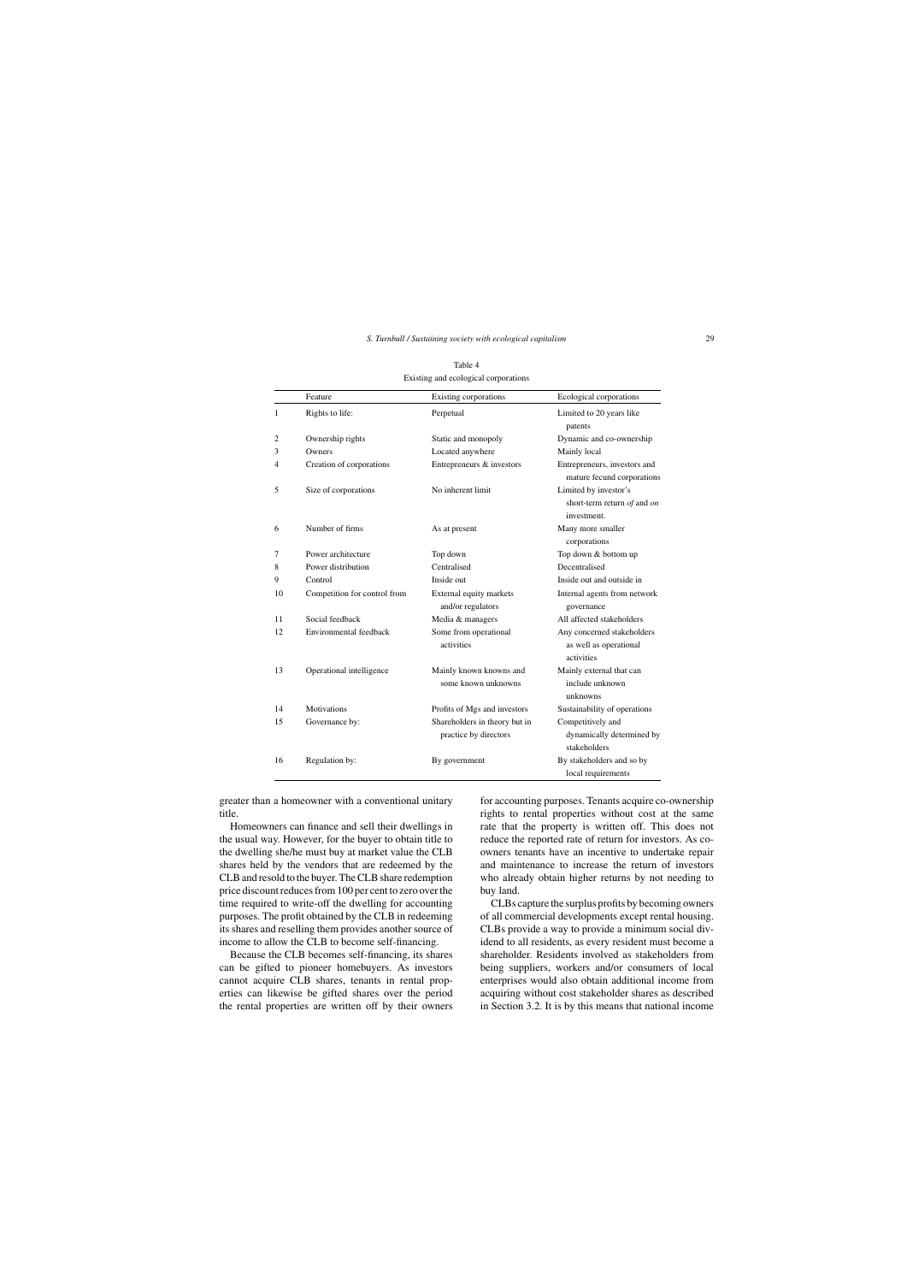*S. Turnbull / Sustaining society with ecological capitalism* 29

|    | Feature                      | Existing corporations                                  | Ecological corporations                                             |
|----|------------------------------|--------------------------------------------------------|---------------------------------------------------------------------|
| 1  | Rights to life:              | Perpetual                                              | Limited to 20 years like<br>patents                                 |
| 2  | Ownership rights             | Static and monopoly                                    | Dynamic and co-ownership                                            |
| 3  | Owners                       | Located anywhere                                       | Mainly local                                                        |
| 4  | Creation of corporations     | Entrepreneurs & investors                              | Entrepreneurs, investors and<br>mature fecund corporations          |
| 5  | Size of corporations         | No inherent limit.                                     | Limited by investor's<br>short-term return of and on<br>investment. |
| 6  | Number of firms              | As at present                                          | Many more smaller<br>corporations                                   |
| 7  | Power architecture           | Top down                                               | Top down & bottom up                                                |
| 8  | Power distribution           | Centralised                                            | Decentralised                                                       |
| 9  | Control                      | Inside out                                             | Inside out and outside in                                           |
| 10 | Competition for control from | External equity markets<br>and/or regulators           | Internal agents from network<br>governance                          |
| 11 | Social feedback              | Media & managers                                       | All affected stakeholders                                           |
| 12 | Environmental feedback       | Some from operational<br>activities                    | Any concerned stakeholders<br>as well as operational<br>activities  |
| 13 | Operational intelligence     | Mainly known knowns and<br>some known unknowns         | Mainly external that can<br>include unknown<br>unknowns             |
| 14 | <b>Motivations</b>           | Profits of Mgs and investors                           | Sustainability of operations                                        |
| 15 | Governance by:               | Shareholders in theory but in<br>practice by directors | Competitively and<br>dynamically determined by<br>stakeholders      |
| 16 | Regulation by:               | By government                                          | By stakeholders and so by<br>local requirements                     |

Table 4 Existing and ecological corporations

greater than a homeowner with a conventional unitary title.

Homeowners can finance and sell their dwellings in the usual way. However, for the buyer to obtain title to the dwelling she/he must buy at market value the CLB shares held by the vendors that are redeemed by the CLB and resold to the buyer. The CLB share redemption price discount reduces from 100 per cent to zero over the time required to write-off the dwelling for accounting purposes. The profit obtained by the CLB in redeeming its shares and reselling them provides another source of income to allow the CLB to become self-financing.

Because the CLB becomes self-financing, its shares can be gifted to pioneer homebuyers. As investors cannot acquire CLB shares, tenants in rental properties can likewise be gifted shares over the period the rental properties are written off by their owners for accounting purposes. Tenants acquire co-ownership rights to rental properties without cost at the same rate that the property is written off. This does not reduce the reported rate of return for investors. As coowners tenants have an incentive to undertake repair and maintenance to increase the return of investors who already obtain higher returns by not needing to buy land.

CLBs capture the surplus profits by becoming owners of all commercial developments except rental housing. CLBs provide a way to provide a minimum social dividend to all residents, as every resident must become a shareholder. Residents involved as stakeholders from being suppliers, workers and/or consumers of local enterprises would also obtain additional income from acquiring without cost stakeholder shares as described in Section 3.2. It is by this means that national income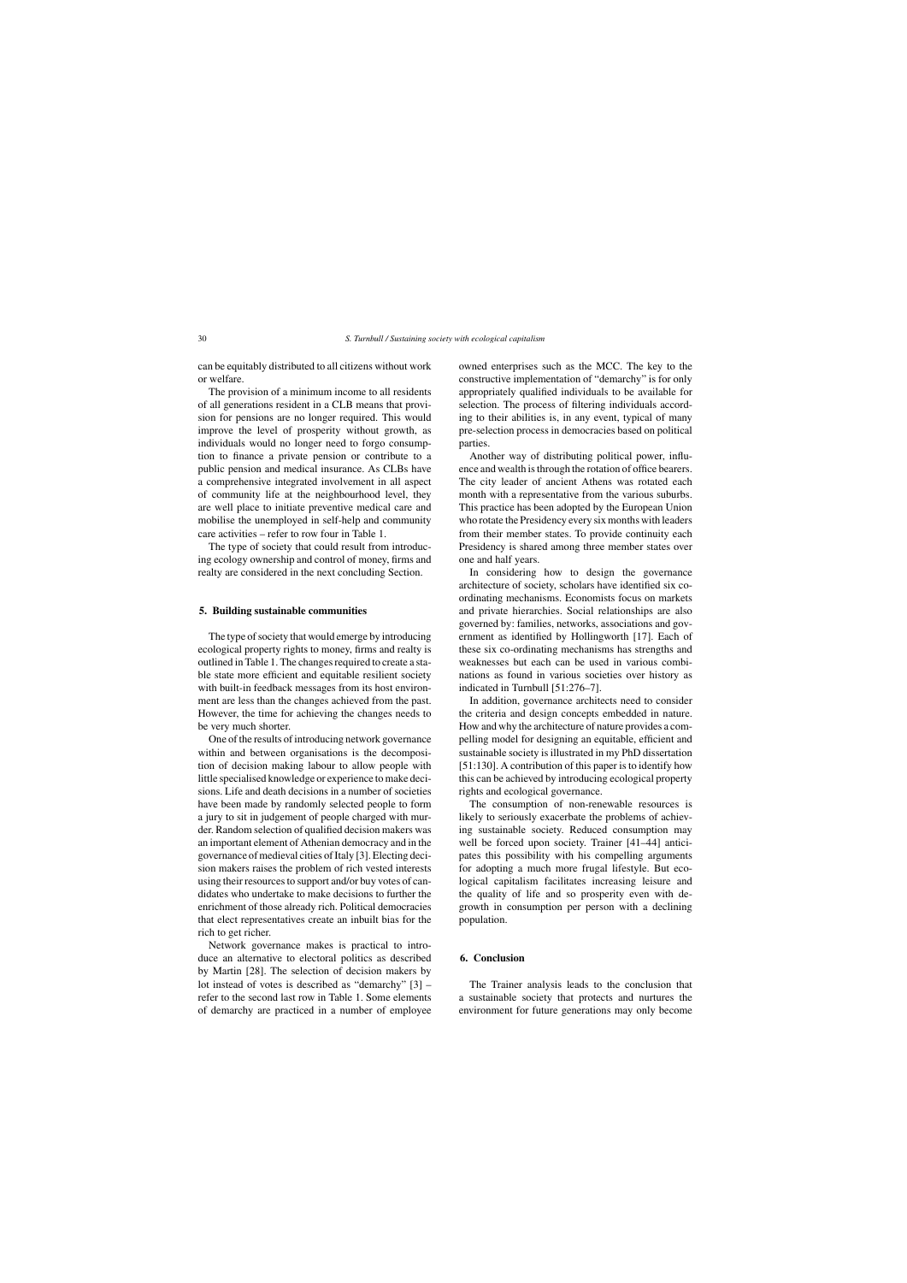can be equitably distributed to all citizens without work or welfare.

The provision of a minimum income to all residents of all generations resident in a CLB means that provision for pensions are no longer required. This would improve the level of prosperity without growth, as individuals would no longer need to forgo consumption to finance a private pension or contribute to a public pension and medical insurance. As CLBs have a comprehensive integrated involvement in all aspect of community life at the neighbourhood level, they are well place to initiate preventive medical care and mobilise the unemployed in self-help and community care activities – refer to row four in Table 1.

The type of society that could result from introducing ecology ownership and control of money, firms and realty are considered in the next concluding Section.

#### **5. Building sustainable communities**

The type of society that would emerge by introducing ecological property rights to money, firms and realty is outlined in Table 1. The changes required to create a stable state more efficient and equitable resilient society with built-in feedback messages from its host environment are less than the changes achieved from the past. However, the time for achieving the changes needs to be very much shorter.

One of the results of introducing network governance within and between organisations is the decomposition of decision making labour to allow people with little specialised knowledge or experience to make decisions. Life and death decisions in a number of societies have been made by randomly selected people to form a jury to sit in judgement of people charged with murder. Random selection of qualified decision makers was an important element of Athenian democracy and in the governance of medieval cities of Italy [3]. Electing decision makers raises the problem of rich vested interests using their resources to support and/or buy votes of candidates who undertake to make decisions to further the enrichment of those already rich. Political democracies that elect representatives create an inbuilt bias for the rich to get richer.

Network governance makes is practical to introduce an alternative to electoral politics as described by Martin [28]. The selection of decision makers by lot instead of votes is described as "demarchy" [3] – refer to the second last row in Table 1. Some elements of demarchy are practiced in a number of employee owned enterprises such as the MCC. The key to the constructive implementation of "demarchy" is for only appropriately qualified individuals to be available for selection. The process of filtering individuals according to their abilities is, in any event, typical of many pre-selection process in democracies based on political parties.

Another way of distributing political power, influence and wealth is through the rotation of office bearers. The city leader of ancient Athens was rotated each month with a representative from the various suburbs. This practice has been adopted by the European Union who rotate the Presidency every six months with leaders from their member states. To provide continuity each Presidency is shared among three member states over one and half years.

In considering how to design the governance architecture of society, scholars have identified six coordinating mechanisms. Economists focus on markets and private hierarchies. Social relationships are also governed by: families, networks, associations and government as identified by Hollingworth [17]. Each of these six co-ordinating mechanisms has strengths and weaknesses but each can be used in various combinations as found in various societies over history as indicated in Turnbull [51:276–7].

In addition, governance architects need to consider the criteria and design concepts embedded in nature. How and why the architecture of nature provides a compelling model for designing an equitable, efficient and sustainable society is illustrated in my PhD dissertation [51:130]. A contribution of this paper is to identify how this can be achieved by introducing ecological property rights and ecological governance.

The consumption of non-renewable resources is likely to seriously exacerbate the problems of achieving sustainable society. Reduced consumption may well be forced upon society. Trainer [41–44] anticipates this possibility with his compelling arguments for adopting a much more frugal lifestyle. But ecological capitalism facilitates increasing leisure and the quality of life and so prosperity even with degrowth in consumption per person with a declining population.

## **6. Conclusion**

The Trainer analysis leads to the conclusion that a sustainable society that protects and nurtures the environment for future generations may only become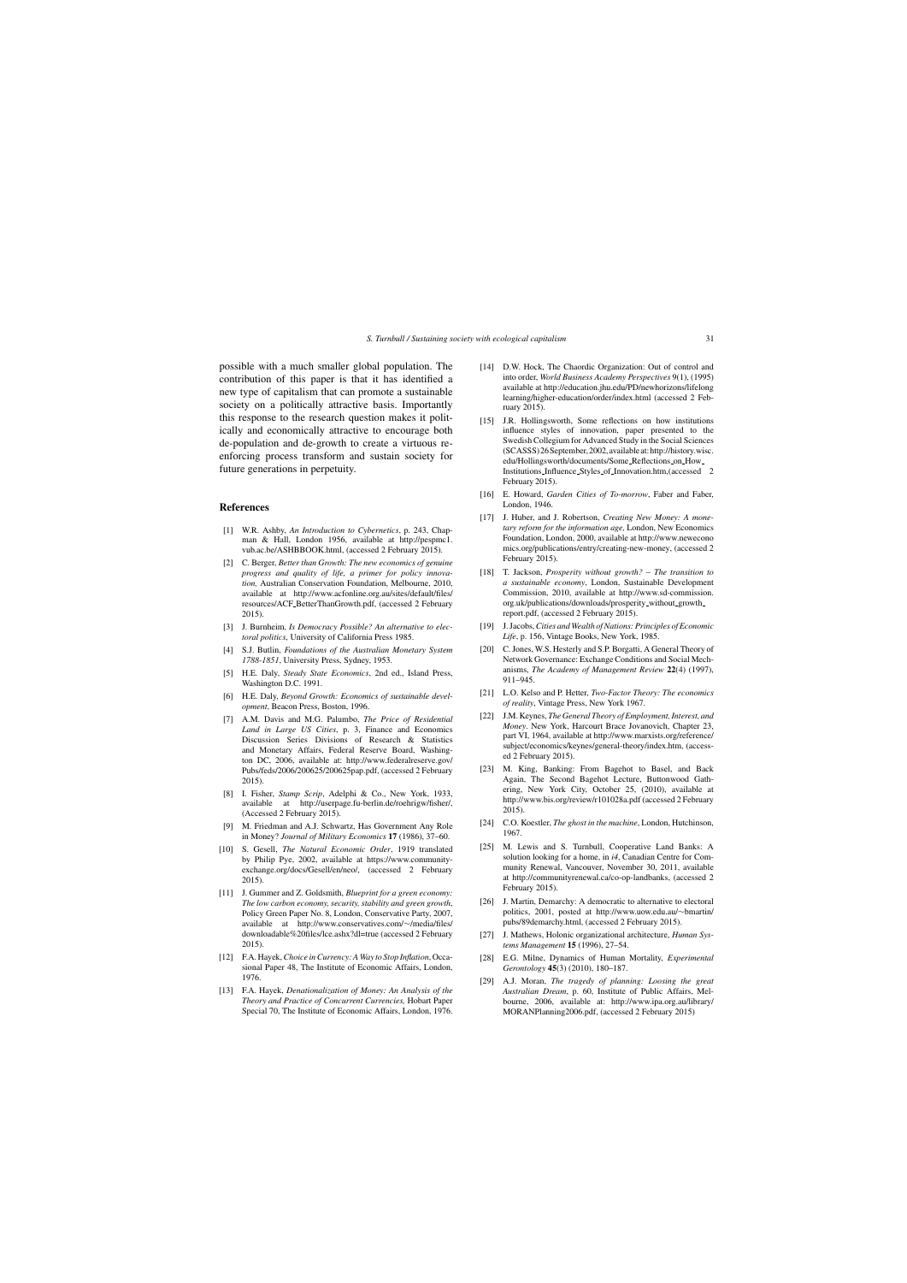possible with a much smaller global population. The contribution of this paper is that it has identified a new type of capitalism that can promote a sustainable society on a politically attractive basis. Importantly this response to the research question makes it politically and economically attractive to encourage both de-population and de-growth to create a virtuous reenforcing process transform and sustain society for future generations in perpetuity.

## **References**

- [1] W.R. Ashby, *An Introduction to Cybernetics*, p. 243, Chapman & Hall, London 1956, available at [http://pespmc1.](http://pespmc1.vub.ac.be/ASHBBOOK.html) [vub.ac.be/ASHBBOOK.html,](http://pespmc1.vub.ac.be/ASHBBOOK.html) (accessed 2 February 2015).
- [2] C. Berger, *Better than Growth: The new economics of genuine progress and quality of life, a primer for policy innovation,* Australian Conservation Foundation, Melbourne, 2010, available at [http://www.acfonline.org.au/sites/default/files/](http://www.acfonline.org.au/sites/default/files/resources/ACF_BetterThanGrowth.pdf) resources/ACF [BetterThanGrowth.pdf,](http://www.acfonline.org.au/sites/default/files/resources/ACF_BetterThanGrowth.pdf) (accessed 2 February 2015).
- [3] J. Burnheim, *Is Democracy Possible? An alternative to electoral politics*, University of California Press 1985.
- [4] S.J. Butlin, *Foundations of the Australian Monetary System 1788-1851*, University Press, Sydney, 1953.
- [5] H.E. Daly, *Steady State Economics*, 2nd ed., Island Press, Washington D.C. 1991.
- [6] H.E. Daly, *Beyond Growth: Economics of sustainable development*, Beacon Press, Boston, 1996.
- [7] A.M. Davis and M.G. Palumbo, *The Price of Residential Land in Large US Cities*, p. 3, Finance and Economics Discussion Series Divisions of Research & Statistics and Monetary Affairs, Federal Reserve Board, Washington DC, 2006, available at: [http://www.federalreserve.gov/](http://www.federalreserve.gov/Pubs/feds/2006/200625/200625pap.pdf) Pubs/feds/2006/200625/200625pap.pdf, (accessed 2 February 2015).
- [8] I. Fisher, *Stamp Scrip*, Adelphi & Co., New York, 1933, available at [http://userpage.fu-berlin.de/roehrigw/fisher/,](http://userpage.fu-berlin.de/roehrigw/fisher/) (Accessed 2 February 2015).
- [9] M. Friedman and A.J. Schwartz, Has Government Any Role in Money? *Journal of Military Economics* **17** (1986), 37–60.
- [10] S. Gesell, *The Natural Economic Order*, 1919 translated by Philip Pye, 2002, available at https://www.communityexchange.org/docs/Gesell/en/neo/, (accessed 2 February 2015).
- [11] J. Gummer and Z. Goldsmith, *Blueprint for a green economy: The low carbon economy, security, stability and green growth*, Policy Green Paper No. 8, London, Conservative Party, 2007, available at [http://www.conservatives.com/](http://www.conservatives.com/~/media/files/downloadable%20files/lce.ashx?dl=true)∼/media/files/ downloadable%20files/lce.ashx?dl=true (accessed 2 February 2015).
- [12] F.A. Hayek,*Choice in Currency: A Way to Stop Inflation*, Occasional Paper 48, The Institute of Economic Affairs, London, 1976.
- [13] F.A. Hayek, *Denationalization of Money: An Analysis of the Theory and Practice of Concurrent Currencies,* Hobart Paper Special 70, The Institute of Economic Affairs, London, 1976.
- [14] D.W. Hock, The Chaordic Organization: Out of control and into order, *World Business Academy Perspectives* 9(1), (1995) available at [http://education.jhu.edu/PD/newhorizons/lifelong](http://education.jhu.edu/PD/newhorizons/lifelonglearning/higher-education/order/index.html) [learning/higher-education/order/index.html](http://education.jhu.edu/PD/newhorizons/lifelonglearning/higher-education/order/index.html) (accessed 2 February 2015).
- [15] J.R. Hollingsworth, Some reflections on how institutions influence styles of innovation, paper presented to the Swedish Collegium for Advanced Study in the Social Sciences (SCASSS)26September,2002,availableat:[http://history.wisc.](http://history.wisc.edu/Hollingsworth/documents/Some_Reflections_on_How_Institutions_Influence_Styles_of_Innovation.htm) edu/Hollingsworth/documents/Some\_Reflections\_on\_How\_ Institutions Influence Styles of Innovation.htm,(accessed 2 February 2015).
- [16] E. Howard, *Garden Cities of To-morrow*, Faber and Faber, London, 1946.
- [17] J. Huber, and J. Robertson, *Creating New Money: A monetary reform for the information age,* London, New Economics Foundation, London, 2000, available at [http://www.newecono](http://www.neweconomics.org/publications/entry/creating-new-money) [mics.org/publications/entry/creating-new-money](http://www.neweconomics.org/publications/entry/creating-new-money), (accessed 2 February 2015).
- [18] T. Jackson, *Prosperity without growth? The transition to a sustainable economy*, London, Sustainable Development Commission, 2010, available at [http://www.sd-commission.](http://www.sd-commission.org.uk/publications/downloads/prosperity_without_growth_report.pdf) org.uk/publications/downloads/prosperity without growth report.pdf, (accessed 2 February 2015).
- [19] J. Jacobs,*Cities and Wealth of Nations: Principles of Economic Life*, p. 156, Vintage Books, New York, 1985.
- [20] C. Jones, W.S. Hesterly and S.P. Borgatti, A General Theory of Network Governance: Exchange Conditions and Social Mechanisms, *The Academy of Management Review* **22**(4) (1997), 911–945.
- [21] L.O. Kelso and P. Hetter, *Two-Factor Theory: The economics of reality*, Vintage Press, New York 1967.
- [22] J.M. Keynes, *The General Theory of Employment, Interest, and Money*. New York, Harcourt Brace Jovanovich, Chapter 23, part VI, 1964, available at [http://www.marxists.org/reference/](http://www.marxists.org/reference/subject/economics/keynes/general-theory/index.htm) [subject/economics/keynes/general-theory/index.htm](http://www.marxists.org/reference/subject/economics/keynes/general-theory/index.htm), (accessed 2 February 2015).
- [23] M. King, Banking: From Bagehot to Basel, and Back Again, The Second Bagehot Lecture, Buttonwood Gathering, New York City, October 25, (2010), available at <http://www.bis.org/review/r101028a.pdf> (accessed 2 February 2015).
- [24] C.O. Koestler, *The ghost in the machine*, London, Hutchinson, 1967.
- [25] M. Lewis and S. Turnbull, Cooperative Land Banks: A solution looking for a home, in *i4*, Canadian Centre for Community Renewal, Vancouver, November 30, 2011, available at [http://communityrenewal.ca/co-op-landbanks,](http://communityrenewal.ca/co-op-landbanks) (accessed 2 February 2015).
- [26] J. Martin, Demarchy: A democratic to alternative to electoral politics, 2001, posted at [http://www.uow.edu.au/](http://www.uow.edu.au/~bmartin/pubs/89demarchy.html)∼bmartin/ pubs/89demarchy.html, (accessed 2 February 2015).
- [27] J. Mathews, Holonic organizational architecture, *Human Systems Management* **15** (1996), 27–54.
- [28] E.G. Milne, Dynamics of Human Mortality, *Experimental Gerontology* **45**(3) (2010), 180–187.
- [29] A.J. Moran, *The tragedy of planning: Loosing the great Australian Dream*, p. 60, Institute of Public Affairs, Melbourne, 2006, available at: [http://www.ipa.org.au/library/](http://www.ipa.org.au/library/MORANPlanning2006.pdf) MORANPlanning2006.pdf, (accessed 2 February 2015)